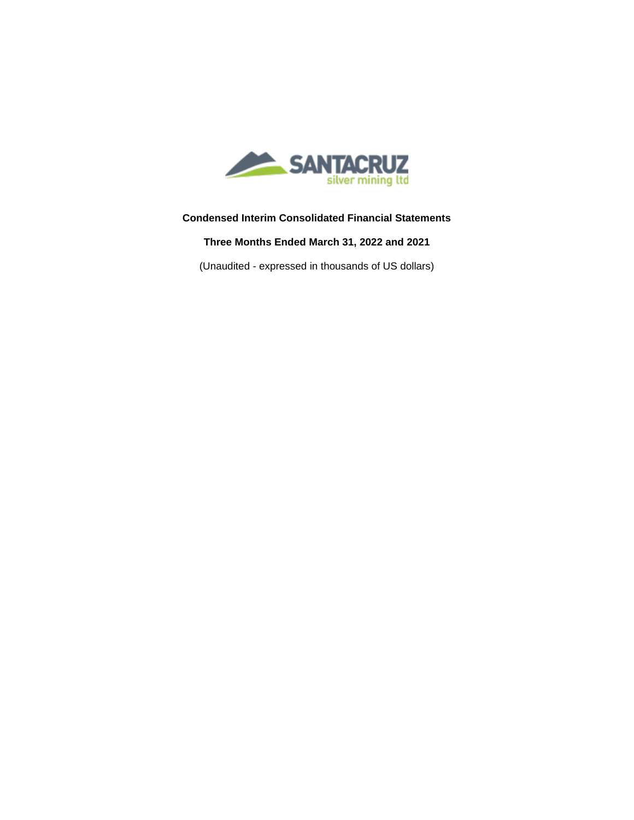

# **Condensed Interim Consolidated Financial Statements**

**Three Months Ended March 31, 2022 and 2021** 

(Unaudited - expressed in thousands of US dollars)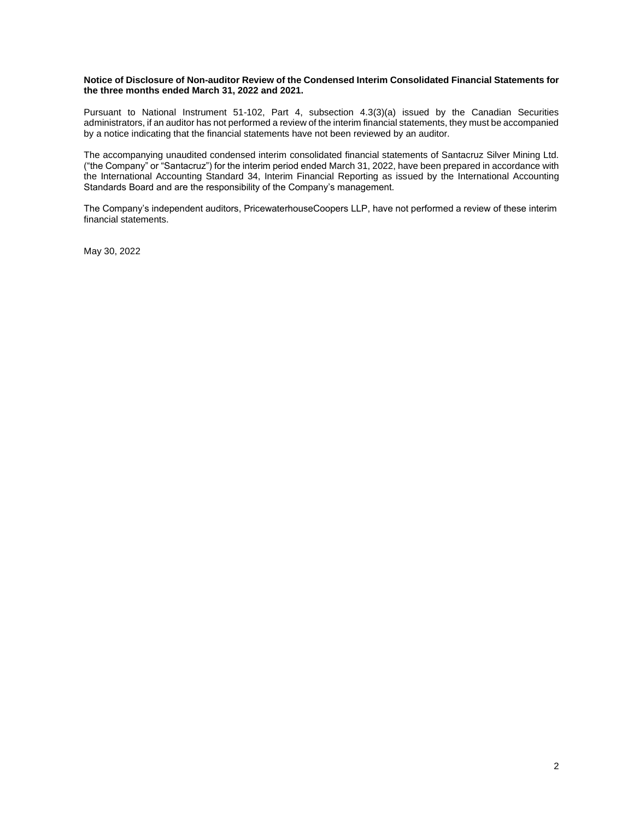### **Notice of Disclosure of Non-auditor Review of the Condensed Interim Consolidated Financial Statements for the three months ended March 31, 2022 and 2021.**

Pursuant to National Instrument 51-102, Part 4, subsection 4.3(3)(a) issued by the Canadian Securities administrators, if an auditor has not performed a review of the interim financial statements, they must be accompanied by a notice indicating that the financial statements have not been reviewed by an auditor.

The accompanying unaudited condensed interim consolidated financial statements of Santacruz Silver Mining Ltd. ("the Company" or "Santacruz") for the interim period ended March 31, 2022, have been prepared in accordance with the International Accounting Standard 34, Interim Financial Reporting as issued by the International Accounting Standards Board and are the responsibility of the Company's management.

The Company's independent auditors, PricewaterhouseCoopers LLP, have not performed a review of these interim financial statements.

May 30, 2022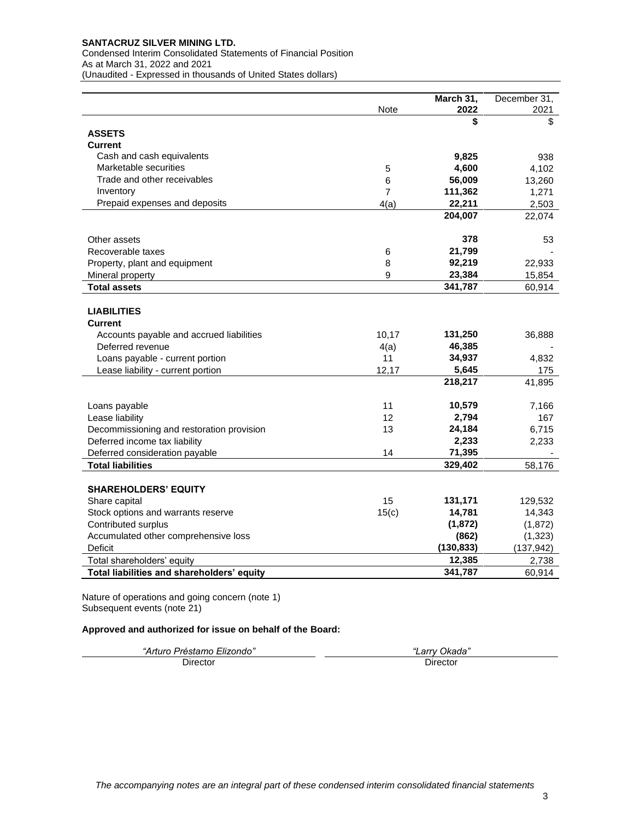Condensed Interim Consolidated Statements of Financial Position As at March 31, 2022 and 2021 (Unaudited - Expressed in thousands of United States dollars)

|                                            |                | March 31,  | December 31, |
|--------------------------------------------|----------------|------------|--------------|
|                                            | Note           | 2022       | 2021         |
|                                            |                | \$         | \$           |
| <b>ASSETS</b>                              |                |            |              |
| <b>Current</b>                             |                |            |              |
| Cash and cash equivalents                  |                | 9,825      | 938          |
| Marketable securities                      | 5              | 4,600      | 4,102        |
| Trade and other receivables                | 6              | 56,009     | 13,260       |
| Inventory                                  | $\overline{7}$ | 111,362    | 1,271        |
| Prepaid expenses and deposits              | 4(a)           | 22,211     | 2,503        |
|                                            |                | 204,007    | 22,074       |
| Other assets                               |                | 378        | 53           |
| Recoverable taxes                          | 6              | 21,799     |              |
| Property, plant and equipment              | 8              | 92,219     | 22,933       |
| Mineral property                           | 9              | 23,384     | 15,854       |
| <b>Total assets</b>                        |                | 341,787    | 60,914       |
|                                            |                |            |              |
| <b>LIABILITIES</b>                         |                |            |              |
| <b>Current</b>                             |                |            |              |
| Accounts payable and accrued liabilities   | 10,17          | 131,250    | 36,888       |
| Deferred revenue                           | 4(a)           | 46,385     |              |
| Loans payable - current portion            | 11             | 34,937     | 4,832        |
| Lease liability - current portion          | 12,17          | 5,645      | 175          |
|                                            |                | 218,217    | 41,895       |
|                                            |                |            |              |
| Loans payable                              | 11             | 10,579     | 7,166        |
| Lease liability                            | 12             | 2,794      | 167          |
| Decommissioning and restoration provision  | 13             | 24,184     | 6,715        |
| Deferred income tax liability              |                | 2,233      | 2,233        |
| Deferred consideration payable             | 14             | 71,395     |              |
| <b>Total liabilities</b>                   |                | 329,402    | 58,176       |
|                                            |                |            |              |
| <b>SHAREHOLDERS' EQUITY</b>                |                |            |              |
| Share capital                              | 15             | 131,171    | 129,532      |
| Stock options and warrants reserve         | 15(c)          | 14,781     | 14,343       |
| Contributed surplus                        |                | (1, 872)   | (1, 872)     |
| Accumulated other comprehensive loss       |                | (862)      | (1, 323)     |
| <b>Deficit</b>                             |                | (130, 833) | (137, 942)   |
| Total shareholders' equity                 |                | 12,385     | 2,738        |
| Total liabilities and shareholders' equity |                | 341,787    | 60,914       |

Nature of operations and going concern (note 1) Subsequent events (note 21)

## **Approved and authorized for issue on behalf of the Board:**

| "Arturo Préstamo Elizondo" | ∟arry Okada" |
|----------------------------|--------------|
| Director                   | Director     |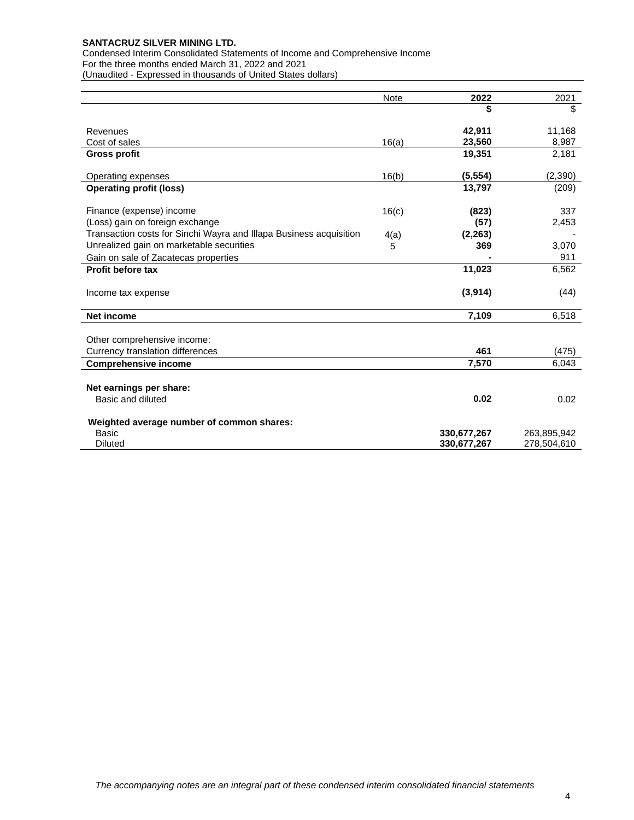Condensed Interim Consolidated Statements of Income and Comprehensive Income For the three months ended March 31, 2022 and 2021 (Unaudited - Expressed in thousands of United States dollars)

|                                                                    | <b>Note</b> | 2022        | 2021        |
|--------------------------------------------------------------------|-------------|-------------|-------------|
|                                                                    |             | \$          | \$          |
| Revenues                                                           |             | 42,911      | 11,168      |
| Cost of sales                                                      | 16(a)       | 23,560      | 8,987       |
| <b>Gross profit</b>                                                |             | 19,351      | 2,181       |
| Operating expenses                                                 | 16(b)       | (5, 554)    | (2,390)     |
| <b>Operating profit (loss)</b>                                     |             | 13,797      | (209)       |
| Finance (expense) income                                           | 16(c)       | (823)       | 337         |
| (Loss) gain on foreign exchange                                    |             | (57)        | 2,453       |
| Transaction costs for Sinchi Wayra and Illapa Business acquisition | 4(a)        | (2, 263)    |             |
| Unrealized gain on marketable securities                           | 5           | 369         | 3,070       |
| Gain on sale of Zacatecas properties                               |             |             | 911         |
| <b>Profit before tax</b>                                           |             | 11,023      | 6,562       |
| Income tax expense                                                 |             | (3,914)     | (44)        |
| <b>Net income</b>                                                  |             | 7,109       | 6,518       |
| Other comprehensive income:                                        |             |             |             |
| Currency translation differences                                   |             | 461         | (475)       |
| <b>Comprehensive income</b>                                        |             | 7,570       | 6,043       |
| Net earnings per share:                                            |             |             |             |
| Basic and diluted                                                  |             | 0.02        | 0.02        |
|                                                                    |             |             |             |
| Weighted average number of common shares:                          |             |             |             |
| <b>Basic</b>                                                       |             | 330,677,267 | 263,895,942 |
| <b>Diluted</b>                                                     |             | 330,677,267 | 278,504,610 |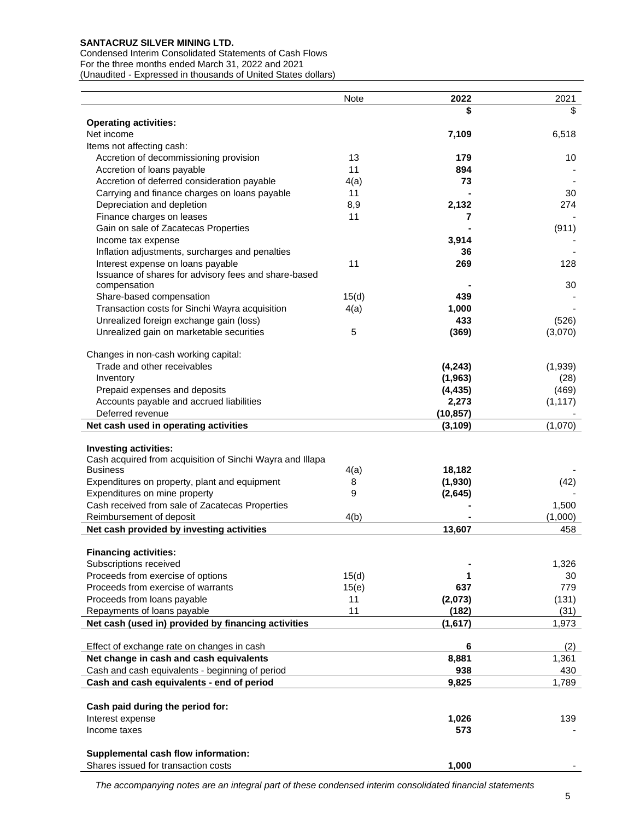Condensed Interim Consolidated Statements of Cash Flows For the three months ended March 31, 2022 and 2021 (Unaudited - Expressed in thousands of United States dollars)

|                                                                                              | Note       | 2022      | 2021      |
|----------------------------------------------------------------------------------------------|------------|-----------|-----------|
|                                                                                              |            | \$        | \$        |
| <b>Operating activities:</b>                                                                 |            |           |           |
| Net income                                                                                   |            | 7,109     | 6,518     |
| Items not affecting cash:                                                                    |            |           |           |
| Accretion of decommissioning provision                                                       | 13         | 179       | 10        |
| Accretion of loans payable                                                                   | 11         | 894       |           |
| Accretion of deferred consideration payable<br>Carrying and finance charges on loans payable | 4(a)<br>11 | 73        | 30        |
| Depreciation and depletion                                                                   | 8,9        | 2,132     | 274       |
| Finance charges on leases                                                                    | 11         | 7         |           |
| Gain on sale of Zacatecas Properties                                                         |            |           | (911)     |
| Income tax expense                                                                           |            | 3,914     |           |
| Inflation adjustments, surcharges and penalties                                              |            | 36        |           |
| Interest expense on loans payable                                                            | 11         | 269       | 128       |
| Issuance of shares for advisory fees and share-based                                         |            |           |           |
| compensation                                                                                 |            |           | 30        |
| Share-based compensation                                                                     | 15(d)      | 439       |           |
| Transaction costs for Sinchi Wayra acquisition                                               | 4(a)       | 1,000     |           |
| Unrealized foreign exchange gain (loss)                                                      |            | 433       | (526)     |
| Unrealized gain on marketable securities                                                     | 5          | (369)     | (3,070)   |
| Changes in non-cash working capital:                                                         |            |           |           |
| Trade and other receivables                                                                  |            | (4, 243)  | (1,939)   |
| Inventory                                                                                    |            | (1, 963)  | (28)      |
| Prepaid expenses and deposits                                                                |            | (4, 435)  | (469)     |
| Accounts payable and accrued liabilities                                                     |            | 2,273     | (1, 117)  |
| Deferred revenue                                                                             |            | (10, 857) |           |
| Net cash used in operating activities                                                        |            | (3, 109)  | (1,070)   |
|                                                                                              |            |           |           |
| <b>Investing activities:</b><br>Cash acquired from acquisition of Sinchi Wayra and Illapa    |            |           |           |
| <b>Business</b>                                                                              | 4(a)       | 18,182    |           |
| Expenditures on property, plant and equipment                                                | 8          | (1,930)   | (42)      |
| Expenditures on mine property                                                                | 9          | (2,645)   |           |
| Cash received from sale of Zacatecas Properties                                              |            |           | 1,500     |
| Reimbursement of deposit                                                                     | 4(b)       |           | (1,000)   |
| Net cash provided by investing activities                                                    |            | 13,607    | 458       |
|                                                                                              |            |           |           |
| <b>Financing activities:</b>                                                                 |            |           |           |
| Subscriptions received<br>Proceeds from exercise of options                                  | 15(d)      | 1         | 1,326     |
| Proceeds from exercise of warrants                                                           | 15(e)      | 637       | 30<br>779 |
| Proceeds from loans payable                                                                  | 11         | (2,073)   | (131)     |
| Repayments of loans payable                                                                  | 11         | (182)     | (31)      |
| Net cash (used in) provided by financing activities                                          |            | (1,617)   | 1,973     |
|                                                                                              |            |           |           |
| Effect of exchange rate on changes in cash                                                   |            | 6         | (2)       |
| Net change in cash and cash equivalents                                                      |            | 8,881     | 1,361     |
| Cash and cash equivalents - beginning of period                                              |            | 938       | 430       |
| Cash and cash equivalents - end of period                                                    |            | 9,825     | 1,789     |
| Cash paid during the period for:                                                             |            |           |           |
| Interest expense                                                                             |            | 1,026     | 139       |
| Income taxes                                                                                 |            | 573       |           |
|                                                                                              |            |           |           |
| Supplemental cash flow information:                                                          |            |           |           |
| Shares issued for transaction costs                                                          |            | 1,000     |           |

*The accompanying notes are an integral part of these condensed interim consolidated financial statements*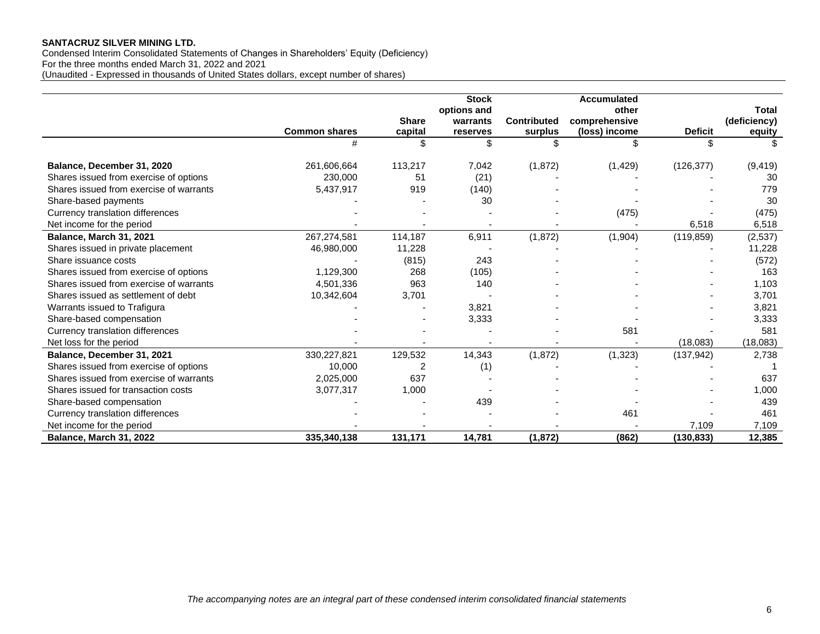Condensed Interim Consolidated Statements of Changes in Shareholders' Equity (Deficiency) For the three months ended March 31, 2022 and 2021 (Unaudited - Expressed in thousands of United States dollars, except number of shares)

|                                         |                      |              | <b>Stock</b><br>options and |                    | <b>Accumulated</b><br>other |                | <b>Total</b> |
|-----------------------------------------|----------------------|--------------|-----------------------------|--------------------|-----------------------------|----------------|--------------|
|                                         |                      | <b>Share</b> | warrants                    | <b>Contributed</b> | comprehensive               |                | (deficiency) |
|                                         | <b>Common shares</b> | capital      | reserves                    | surplus            | (loss) income               | <b>Deficit</b> | equity       |
|                                         |                      | \$           | \$                          |                    |                             |                |              |
| Balance, December 31, 2020              | 261,606,664          | 113,217      | 7,042                       | (1, 872)           | (1, 429)                    | (126, 377)     | (9, 419)     |
| Shares issued from exercise of options  | 230,000              | 51           | (21)                        |                    |                             |                | 30           |
| Shares issued from exercise of warrants | 5,437,917            | 919          | (140)                       |                    |                             |                | 779          |
| Share-based payments                    |                      |              | 30                          |                    |                             |                | 30           |
| Currency translation differences        |                      |              |                             |                    | (475)                       |                | (475)        |
| Net income for the period               |                      |              |                             |                    |                             | 6,518          | 6,518        |
| Balance, March 31, 2021                 | 267,274,581          | 114,187      | 6,911                       | (1, 872)           | (1,904)                     | (119, 859)     | (2,537)      |
| Shares issued in private placement      | 46,980,000           | 11,228       |                             |                    |                             |                | 11,228       |
| Share issuance costs                    |                      | (815)        | 243                         |                    |                             |                | (572)        |
| Shares issued from exercise of options  | 1,129,300            | 268          | (105)                       |                    |                             |                | 163          |
| Shares issued from exercise of warrants | 4,501,336            | 963          | 140                         |                    |                             |                | 1,103        |
| Shares issued as settlement of debt     | 10,342,604           | 3,701        |                             |                    |                             |                | 3,701        |
| Warrants issued to Trafigura            |                      |              | 3,821                       |                    |                             |                | 3,821        |
| Share-based compensation                |                      |              | 3,333                       |                    |                             |                | 3,333        |
| Currency translation differences        |                      |              |                             |                    | 581                         |                | 581          |
| Net loss for the period                 |                      |              |                             |                    |                             | (18,083)       | (18,083)     |
| Balance, December 31, 2021              | 330,227,821          | 129,532      | 14,343                      | (1, 872)           | (1, 323)                    | (137, 942)     | 2,738        |
| Shares issued from exercise of options  | 10,000               | 2            | (1)                         |                    |                             |                |              |
| Shares issued from exercise of warrants | 2,025,000            | 637          |                             |                    |                             |                | 637          |
| Shares issued for transaction costs     | 3,077,317            | 1,000        |                             |                    |                             |                | 1,000        |
| Share-based compensation                |                      |              | 439                         |                    |                             |                | 439          |
| Currency translation differences        |                      |              |                             |                    | 461                         |                | 461          |
| Net income for the period               |                      |              |                             |                    |                             | 7,109          | 7,109        |
| Balance, March 31, 2022                 | 335,340,138          | 131,171      | 14,781                      | (1, 872)           | (862)                       | (130, 833)     | 12,385       |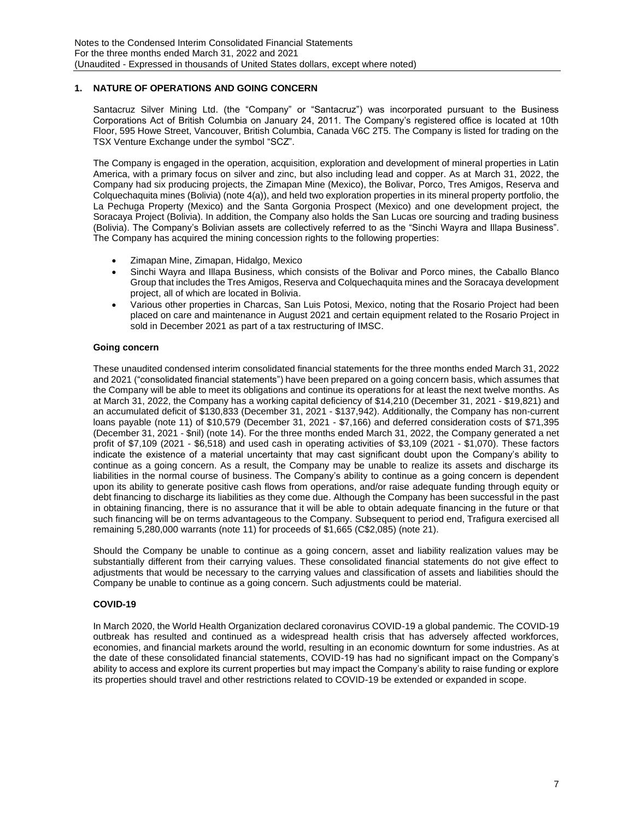## **1. NATURE OF OPERATIONS AND GOING CONCERN**

Santacruz Silver Mining Ltd. (the "Company" or "Santacruz") was incorporated pursuant to the Business Corporations Act of British Columbia on January 24, 2011. The Company's registered office is located at 10th Floor, 595 Howe Street, Vancouver, British Columbia, Canada V6C 2T5. The Company is listed for trading on the TSX Venture Exchange under the symbol "SCZ".

The Company is engaged in the operation, acquisition, exploration and development of mineral properties in Latin America, with a primary focus on silver and zinc, but also including lead and copper. As at March 31, 2022, the Company had six producing projects, the Zimapan Mine (Mexico), the Bolivar, Porco, Tres Amigos, Reserva and Colquechaquita mines (Bolivia) (note 4(a)), and held two exploration properties in its mineral property portfolio, the La Pechuga Property (Mexico) and the Santa Gorgonia Prospect (Mexico) and one development project, the Soracaya Project (Bolivia). In addition, the Company also holds the San Lucas ore sourcing and trading business (Bolivia). The Company's Bolivian assets are collectively referred to as the "Sinchi Wayra and Illapa Business". The Company has acquired the mining concession rights to the following properties:

- Zimapan Mine, Zimapan, Hidalgo, Mexico
- Sinchi Wayra and Illapa Business, which consists of the Bolivar and Porco mines, the Caballo Blanco Group that includes the Tres Amigos, Reserva and Colquechaquita mines and the Soracaya development project, all of which are located in Bolivia.
- Various other properties in Charcas, San Luis Potosi, Mexico, noting that the Rosario Project had been placed on care and maintenance in August 2021 and certain equipment related to the Rosario Project in sold in December 2021 as part of a tax restructuring of IMSC.

## **Going concern**

These unaudited condensed interim consolidated financial statements for the three months ended March 31, 2022 and 2021 ("consolidated financial statements") have been prepared on a going concern basis, which assumes that the Company will be able to meet its obligations and continue its operations for at least the next twelve months. As at March 31, 2022, the Company has a working capital deficiency of \$14,210 (December 31, 2021 - \$19,821) and an accumulated deficit of \$130,833 (December 31, 2021 - \$137,942). Additionally, the Company has non-current loans payable (note 11) of \$10,579 (December 31, 2021 - \$7,166) and deferred consideration costs of \$71,395 (December 31, 2021 - \$nil) (note 14). For the three months ended March 31, 2022, the Company generated a net profit of \$7,109 (2021 - \$6,518) and used cash in operating activities of \$3,109 (2021 - \$1,070). These factors indicate the existence of a material uncertainty that may cast significant doubt upon the Company's ability to continue as a going concern. As a result, the Company may be unable to realize its assets and discharge its liabilities in the normal course of business. The Company's ability to continue as a going concern is dependent upon its ability to generate positive cash flows from operations, and/or raise adequate funding through equity or debt financing to discharge its liabilities as they come due. Although the Company has been successful in the past in obtaining financing, there is no assurance that it will be able to obtain adequate financing in the future or that such financing will be on terms advantageous to the Company. Subsequent to period end, Trafigura exercised all remaining 5,280,000 warrants (note 11) for proceeds of \$1,665 (C\$2,085) (note 21).

Should the Company be unable to continue as a going concern, asset and liability realization values may be substantially different from their carrying values. These consolidated financial statements do not give effect to adjustments that would be necessary to the carrying values and classification of assets and liabilities should the Company be unable to continue as a going concern. Such adjustments could be material.

### **COVID-19**

In March 2020, the World Health Organization declared coronavirus COVID-19 a global pandemic. The COVID-19 outbreak has resulted and continued as a widespread health crisis that has adversely affected workforces, economies, and financial markets around the world, resulting in an economic downturn for some industries. As at the date of these consolidated financial statements, COVID-19 has had no significant impact on the Company's ability to access and explore its current properties but may impact the Company's ability to raise funding or explore its properties should travel and other restrictions related to COVID-19 be extended or expanded in scope.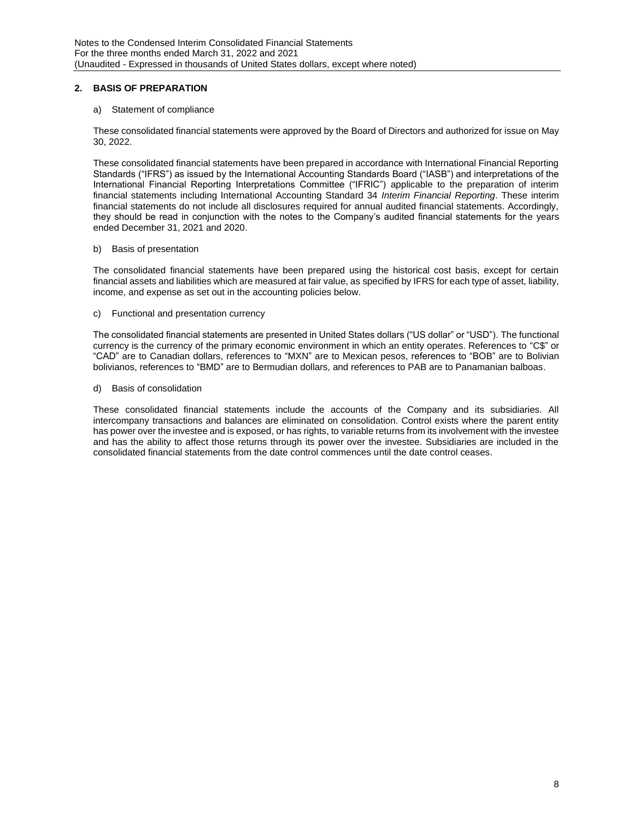## **2. BASIS OF PREPARATION**

### a) Statement of compliance

These consolidated financial statements were approved by the Board of Directors and authorized for issue on May 30, 2022.

These consolidated financial statements have been prepared in accordance with International Financial Reporting Standards ("IFRS") as issued by the International Accounting Standards Board ("IASB") and interpretations of the International Financial Reporting Interpretations Committee ("IFRIC") applicable to the preparation of interim financial statements including International Accounting Standard 34 *Interim Financial Reporting*. These interim financial statements do not include all disclosures required for annual audited financial statements. Accordingly, they should be read in conjunction with the notes to the Company's audited financial statements for the years ended December 31, 2021 and 2020.

#### b) Basis of presentation

The consolidated financial statements have been prepared using the historical cost basis, except for certain financial assets and liabilities which are measured at fair value, as specified by IFRS for each type of asset, liability, income, and expense as set out in the accounting policies below.

### c) Functional and presentation currency

The consolidated financial statements are presented in United States dollars ("US dollar" or "USD"). The functional currency is the currency of the primary economic environment in which an entity operates. References to "C\$" or "CAD" are to Canadian dollars, references to "MXN" are to Mexican pesos, references to "BOB" are to Bolivian bolivianos, references to "BMD" are to Bermudian dollars, and references to PAB are to Panamanian balboas.

### d) Basis of consolidation

These consolidated financial statements include the accounts of the Company and its subsidiaries. All intercompany transactions and balances are eliminated on consolidation. Control exists where the parent entity has power over the investee and is exposed, or has rights, to variable returns from its involvement with the investee and has the ability to affect those returns through its power over the investee. Subsidiaries are included in the consolidated financial statements from the date control commences until the date control ceases.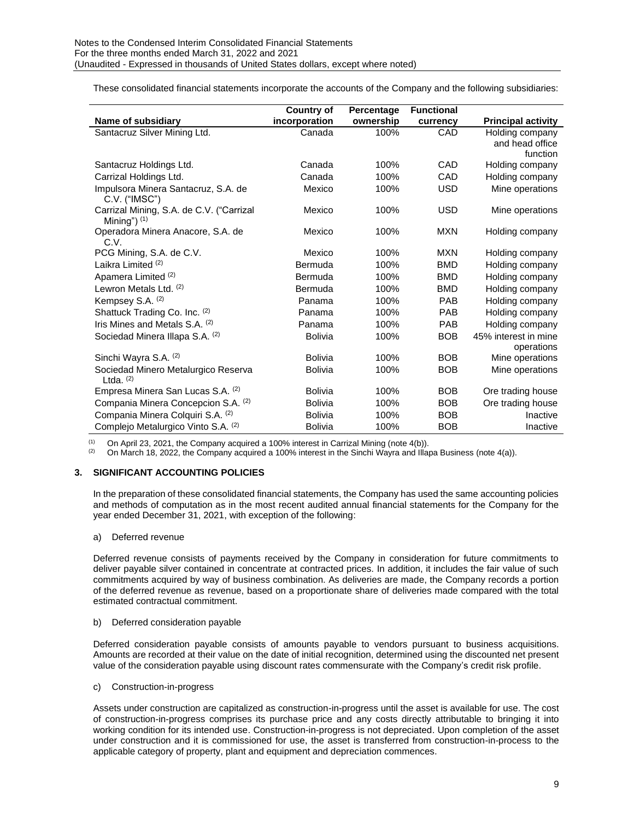These consolidated financial statements incorporate the accounts of the Company and the following subsidiaries:

|                                                            | <b>Country of</b> | Percentage | <b>Functional</b> |                           |
|------------------------------------------------------------|-------------------|------------|-------------------|---------------------------|
| Name of subsidiary                                         | incorporation     | ownership  | currency          | <b>Principal activity</b> |
| Santacruz Silver Mining Ltd.                               | Canada            | 100%       | CAD               | Holding company           |
|                                                            |                   |            |                   | and head office           |
|                                                            |                   |            |                   | function                  |
| Santacruz Holdings Ltd.                                    | Canada            | 100%       | CAD               | Holding company           |
| Carrizal Holdings Ltd.                                     | Canada            | 100%       | CAD               | Holding company           |
| Impulsora Minera Santacruz, S.A. de<br>C.V. ("IMSC")       | Mexico            | 100%       | <b>USD</b>        | Mine operations           |
| Carrizal Mining, S.A. de C.V. ("Carrizal<br>Mining") $(1)$ | Mexico            | 100%       | <b>USD</b>        | Mine operations           |
| Operadora Minera Anacore, S.A. de<br>C.V.                  | Mexico            | 100%       | <b>MXN</b>        | Holding company           |
| PCG Mining, S.A. de C.V.                                   | Mexico            | 100%       | <b>MXN</b>        | Holding company           |
| Laikra Limited <sup>(2)</sup>                              | Bermuda           | 100%       | <b>BMD</b>        | Holding company           |
| Apamera Limited (2)                                        | Bermuda           | 100%       | <b>BMD</b>        | Holding company           |
| Lewron Metals Ltd. (2)                                     | Bermuda           | 100%       | <b>BMD</b>        | Holding company           |
| Kempsey S.A. (2)                                           | Panama            | 100%       | <b>PAB</b>        | Holding company           |
| Shattuck Trading Co. Inc. (2)                              | Panama            | 100%       | <b>PAB</b>        | Holding company           |
| Iris Mines and Metals S.A. (2)                             | Panama            | 100%       | PAB               | Holding company           |
| Sociedad Minera Illapa S.A. (2)                            | <b>Bolivia</b>    | 100%       | <b>BOB</b>        | 45% interest in mine      |
|                                                            |                   |            |                   | operations                |
| Sinchi Wayra S.A. (2)                                      | <b>Bolivia</b>    | 100%       | <b>BOB</b>        | Mine operations           |
| Sociedad Minero Metalurgico Reserva<br>Ltda. $(2)$         | <b>Bolivia</b>    | 100%       | <b>BOB</b>        | Mine operations           |
| Empresa Minera San Lucas S.A. (2)                          | <b>Bolivia</b>    | 100%       | <b>BOB</b>        | Ore trading house         |
| Compania Minera Concepcion S.A. (2)                        | <b>Bolivia</b>    | 100%       | <b>BOB</b>        | Ore trading house         |
| Compania Minera Colquiri S.A. (2)                          | <b>Bolivia</b>    | 100%       | <b>BOB</b>        | Inactive                  |
| Complejo Metalurgico Vinto S.A. (2)                        | <b>Bolivia</b>    | 100%       | <b>BOB</b>        | Inactive                  |

(1) On April 23, 2021, the Company acquired a 100% interest in Carrizal Mining (note 4(b)).<br>(2) On March 18, 2022, the Company acquired a 100% interest in the Sinchi Wayra and Illar

(2) On March 18, 2022, the Company acquired a 100% interest in the Sinchi Wayra and Illapa Business (note 4(a)).

### **3. SIGNIFICANT ACCOUNTING POLICIES**

In the preparation of these consolidated financial statements, the Company has used the same accounting policies and methods of computation as in the most recent audited annual financial statements for the Company for the year ended December 31, 2021, with exception of the following:

#### a) Deferred revenue

Deferred revenue consists of payments received by the Company in consideration for future commitments to deliver payable silver contained in concentrate at contracted prices. In addition, it includes the fair value of such commitments acquired by way of business combination. As deliveries are made, the Company records a portion of the deferred revenue as revenue, based on a proportionate share of deliveries made compared with the total estimated contractual commitment.

#### b) Deferred consideration payable

Deferred consideration payable consists of amounts payable to vendors pursuant to business acquisitions. Amounts are recorded at their value on the date of initial recognition, determined using the discounted net present value of the consideration payable using discount rates commensurate with the Company's credit risk profile.

#### c) Construction-in-progress

Assets under construction are capitalized as construction-in-progress until the asset is available for use. The cost of construction-in-progress comprises its purchase price and any costs directly attributable to bringing it into working condition for its intended use. Construction-in-progress is not depreciated. Upon completion of the asset under construction and it is commissioned for use, the asset is transferred from construction-in-process to the applicable category of property, plant and equipment and depreciation commences.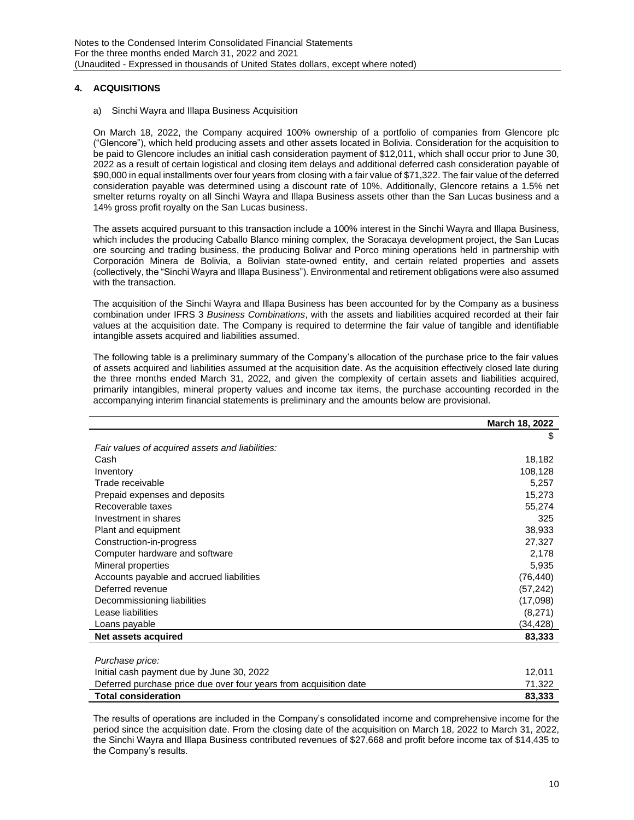## **4. ACQUISITIONS**

a) Sinchi Wayra and Illapa Business Acquisition

On March 18, 2022, the Company acquired 100% ownership of a portfolio of companies from Glencore plc ("Glencore"), which held producing assets and other assets located in Bolivia. Consideration for the acquisition to be paid to Glencore includes an initial cash consideration payment of \$12,011, which shall occur prior to June 30, 2022 as a result of certain logistical and closing item delays and additional deferred cash consideration payable of \$90,000 in equal installments over four years from closing with a fair value of \$71,322. The fair value of the deferred consideration payable was determined using a discount rate of 10%. Additionally, Glencore retains a 1.5% net smelter returns royalty on all Sinchi Wayra and Illapa Business assets other than the San Lucas business and a 14% gross profit royalty on the San Lucas business.

The assets acquired pursuant to this transaction include a 100% interest in the Sinchi Wayra and Illapa Business, which includes the producing Caballo Blanco mining complex, the Soracaya development project, the San Lucas ore sourcing and trading business, the producing Bolivar and Porco mining operations held in partnership with Corporación Minera de Bolivia, a Bolivian state-owned entity, and certain related properties and assets (collectively, the "Sinchi Wayra and Illapa Business"). Environmental and retirement obligations were also assumed with the transaction.

The acquisition of the Sinchi Wayra and Illapa Business has been accounted for by the Company as a business combination under IFRS 3 *Business Combinations*, with the assets and liabilities acquired recorded at their fair values at the acquisition date. The Company is required to determine the fair value of tangible and identifiable intangible assets acquired and liabilities assumed.

The following table is a preliminary summary of the Company's allocation of the purchase price to the fair values of assets acquired and liabilities assumed at the acquisition date. As the acquisition effectively closed late during the three months ended March 31, 2022, and given the complexity of certain assets and liabilities acquired, primarily intangibles, mineral property values and income tax items, the purchase accounting recorded in the accompanying interim financial statements is preliminary and the amounts below are provisional.

|                                                                   | March 18, 2022 |
|-------------------------------------------------------------------|----------------|
|                                                                   | \$             |
| Fair values of acquired assets and liabilities:                   |                |
| Cash                                                              | 18,182         |
| Inventory                                                         | 108,128        |
| Trade receivable                                                  | 5,257          |
| Prepaid expenses and deposits                                     | 15,273         |
| Recoverable taxes                                                 | 55,274         |
| Investment in shares                                              | 325            |
| Plant and equipment                                               | 38,933         |
| Construction-in-progress                                          | 27,327         |
| Computer hardware and software                                    | 2,178          |
| Mineral properties                                                | 5,935          |
| Accounts payable and accrued liabilities                          | (76, 440)      |
| Deferred revenue                                                  | (57, 242)      |
| Decommissioning liabilities                                       | (17,098)       |
| Lease liabilities                                                 | (8,271)        |
| Loans payable                                                     | (34,428)       |
| Net assets acquired                                               | 83,333         |
|                                                                   |                |
| Purchase price:                                                   |                |
| Initial cash payment due by June 30, 2022                         | 12,011         |
| Deferred purchase price due over four years from acquisition date | 71,322         |
| <b>Total consideration</b>                                        | 83,333         |

The results of operations are included in the Company's consolidated income and comprehensive income for the period since the acquisition date. From the closing date of the acquisition on March 18, 2022 to March 31, 2022, the Sinchi Wayra and Illapa Business contributed revenues of \$27,668 and profit before income tax of \$14,435 to the Company's results.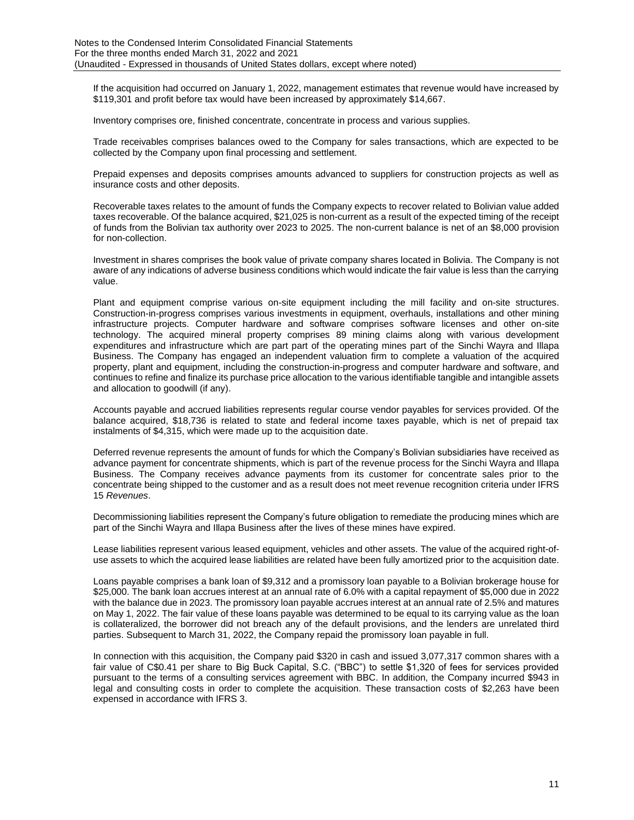If the acquisition had occurred on January 1, 2022, management estimates that revenue would have increased by \$119,301 and profit before tax would have been increased by approximately \$14,667.

Inventory comprises ore, finished concentrate, concentrate in process and various supplies.

Trade receivables comprises balances owed to the Company for sales transactions, which are expected to be collected by the Company upon final processing and settlement.

Prepaid expenses and deposits comprises amounts advanced to suppliers for construction projects as well as insurance costs and other deposits.

Recoverable taxes relates to the amount of funds the Company expects to recover related to Bolivian value added taxes recoverable. Of the balance acquired, \$21,025 is non-current as a result of the expected timing of the receipt of funds from the Bolivian tax authority over 2023 to 2025. The non-current balance is net of an \$8,000 provision for non-collection.

Investment in shares comprises the book value of private company shares located in Bolivia. The Company is not aware of any indications of adverse business conditions which would indicate the fair value is less than the carrying value.

Plant and equipment comprise various on-site equipment including the mill facility and on-site structures. Construction-in-progress comprises various investments in equipment, overhauls, installations and other mining infrastructure projects. Computer hardware and software comprises software licenses and other on-site technology. The acquired mineral property comprises 89 mining claims along with various development expenditures and infrastructure which are part part of the operating mines part of the Sinchi Wayra and Illapa Business. The Company has engaged an independent valuation firm to complete a valuation of the acquired property, plant and equipment, including the construction-in-progress and computer hardware and software, and continues to refine and finalize its purchase price allocation to the various identifiable tangible and intangible assets and allocation to goodwill (if any).

Accounts payable and accrued liabilities represents regular course vendor payables for services provided. Of the balance acquired, \$18,736 is related to state and federal income taxes payable, which is net of prepaid tax instalments of \$4,315, which were made up to the acquisition date.

Deferred revenue represents the amount of funds for which the Company's Bolivian subsidiaries have received as advance payment for concentrate shipments, which is part of the revenue process for the Sinchi Wayra and Illapa Business. The Company receives advance payments from its customer for concentrate sales prior to the concentrate being shipped to the customer and as a result does not meet revenue recognition criteria under IFRS 15 *Revenues*.

Decommissioning liabilities represent the Company's future obligation to remediate the producing mines which are part of the Sinchi Wayra and Illapa Business after the lives of these mines have expired.

Lease liabilities represent various leased equipment, vehicles and other assets. The value of the acquired right-ofuse assets to which the acquired lease liabilities are related have been fully amortized prior to the acquisition date.

Loans payable comprises a bank loan of \$9,312 and a promissory loan payable to a Bolivian brokerage house for \$25,000. The bank loan accrues interest at an annual rate of 6.0% with a capital repayment of \$5,000 due in 2022 with the balance due in 2023. The promissory loan payable accrues interest at an annual rate of 2.5% and matures on May 1, 2022. The fair value of these loans payable was determined to be equal to its carrying value as the loan is collateralized, the borrower did not breach any of the default provisions, and the lenders are unrelated third parties. Subsequent to March 31, 2022, the Company repaid the promissory loan payable in full.

In connection with this acquisition, the Company paid \$320 in cash and issued 3,077,317 common shares with a fair value of C\$0.41 per share to Big Buck Capital, S.C. ("BBC") to settle \$1,320 of fees for services provided pursuant to the terms of a consulting services agreement with BBC. In addition, the Company incurred \$943 in legal and consulting costs in order to complete the acquisition. These transaction costs of \$2,263 have been expensed in accordance with IFRS 3.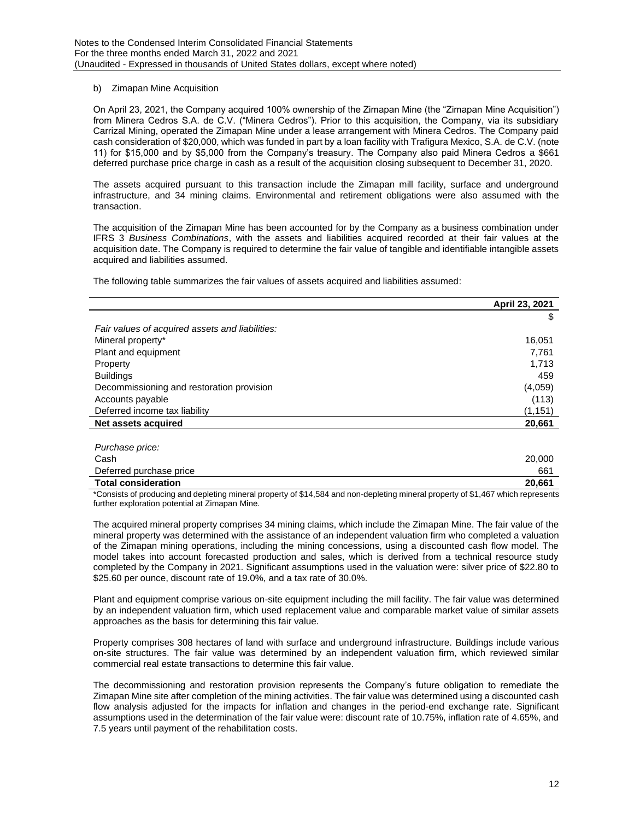### b) Zimapan Mine Acquisition

On April 23, 2021, the Company acquired 100% ownership of the Zimapan Mine (the "Zimapan Mine Acquisition") from Minera Cedros S.A. de C.V. ("Minera Cedros"). Prior to this acquisition, the Company, via its subsidiary Carrizal Mining, operated the Zimapan Mine under a lease arrangement with Minera Cedros. The Company paid cash consideration of \$20,000, which was funded in part by a loan facility with Trafigura Mexico, S.A. de C.V. (note 11) for \$15,000 and by \$5,000 from the Company's treasury. The Company also paid Minera Cedros a \$661 deferred purchase price charge in cash as a result of the acquisition closing subsequent to December 31, 2020.

The assets acquired pursuant to this transaction include the Zimapan mill facility, surface and underground infrastructure, and 34 mining claims. Environmental and retirement obligations were also assumed with the transaction.

The acquisition of the Zimapan Mine has been accounted for by the Company as a business combination under IFRS 3 *Business Combinations*, with the assets and liabilities acquired recorded at their fair values at the acquisition date. The Company is required to determine the fair value of tangible and identifiable intangible assets acquired and liabilities assumed.

The following table summarizes the fair values of assets acquired and liabilities assumed:

|                                                 | April 23, 2021 |
|-------------------------------------------------|----------------|
|                                                 | \$             |
| Fair values of acquired assets and liabilities: |                |
| Mineral property*                               | 16,051         |
| Plant and equipment                             | 7,761          |
| Property                                        | 1,713          |
| <b>Buildings</b>                                | 459            |
| Decommissioning and restoration provision       | (4,059)        |
| Accounts payable                                | (113)          |
| Deferred income tax liability                   | (1, 151)       |
| Net assets acquired                             | 20,661         |
|                                                 |                |

| Purchase price:            |        |
|----------------------------|--------|
| Cash                       | 20,000 |
| Deferred purchase price    | 661    |
| <b>Total consideration</b> | 20.661 |

\*Consists of producing and depleting mineral property of \$14,584 and non-depleting mineral property of \$1,467 which represents further exploration potential at Zimapan Mine.

The acquired mineral property comprises 34 mining claims, which include the Zimapan Mine. The fair value of the mineral property was determined with the assistance of an independent valuation firm who completed a valuation of the Zimapan mining operations, including the mining concessions, using a discounted cash flow model. The model takes into account forecasted production and sales, which is derived from a technical resource study completed by the Company in 2021. Significant assumptions used in the valuation were: silver price of \$22.80 to \$25.60 per ounce, discount rate of 19.0%, and a tax rate of 30.0%.

Plant and equipment comprise various on-site equipment including the mill facility. The fair value was determined by an independent valuation firm, which used replacement value and comparable market value of similar assets approaches as the basis for determining this fair value.

Property comprises 308 hectares of land with surface and underground infrastructure. Buildings include various on-site structures. The fair value was determined by an independent valuation firm, which reviewed similar commercial real estate transactions to determine this fair value.

The decommissioning and restoration provision represents the Company's future obligation to remediate the Zimapan Mine site after completion of the mining activities. The fair value was determined using a discounted cash flow analysis adjusted for the impacts for inflation and changes in the period-end exchange rate. Significant assumptions used in the determination of the fair value were: discount rate of 10.75%, inflation rate of 4.65%, and 7.5 years until payment of the rehabilitation costs.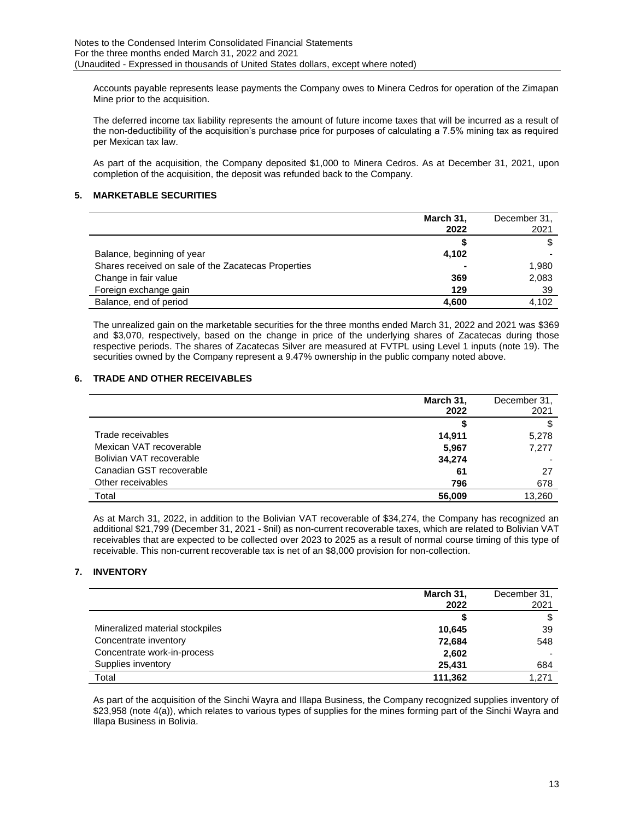Accounts payable represents lease payments the Company owes to Minera Cedros for operation of the Zimapan Mine prior to the acquisition.

The deferred income tax liability represents the amount of future income taxes that will be incurred as a result of the non-deductibility of the acquisition's purchase price for purposes of calculating a 7.5% mining tax as required per Mexican tax law.

As part of the acquisition, the Company deposited \$1,000 to Minera Cedros. As at December 31, 2021, upon completion of the acquisition, the deposit was refunded back to the Company.

## **5. MARKETABLE SECURITIES**

|                                                     | March 31,<br>2022 | December 31,<br>2021 |
|-----------------------------------------------------|-------------------|----------------------|
|                                                     |                   |                      |
| Balance, beginning of year                          | 4,102             |                      |
| Shares received on sale of the Zacatecas Properties |                   | 1,980                |
| Change in fair value                                | 369               | 2,083                |
| Foreign exchange gain                               | 129               | 39                   |
| Balance, end of period                              | 4,600             | 4.102                |

The unrealized gain on the marketable securities for the three months ended March 31, 2022 and 2021 was \$369 and \$3,070, respectively, based on the change in price of the underlying shares of Zacatecas during those respective periods. The shares of Zacatecas Silver are measured at FVTPL using Level 1 inputs (note 19). The securities owned by the Company represent a 9.47% ownership in the public company noted above.

### **6. TRADE AND OTHER RECEIVABLES**

|                          | March 31,<br>2022 | December 31,<br>2021 |
|--------------------------|-------------------|----------------------|
|                          |                   |                      |
| Trade receivables        | 14,911            | 5,278                |
| Mexican VAT recoverable  | 5,967             | 7,277                |
| Bolivian VAT recoverable | 34,274            |                      |
| Canadian GST recoverable | 61                | 27                   |
| Other receivables        | 796               | 678                  |
| Total                    | 56,009            | 13,260               |

As at March 31, 2022, in addition to the Bolivian VAT recoverable of \$34,274, the Company has recognized an additional \$21,799 (December 31, 2021 - \$nil) as non-current recoverable taxes, which are related to Bolivian VAT receivables that are expected to be collected over 2023 to 2025 as a result of normal course timing of this type of receivable. This non-current recoverable tax is net of an \$8,000 provision for non-collection.

## **7. INVENTORY**

|                                 | March 31,<br>2022 | December 31,<br>2021 |
|---------------------------------|-------------------|----------------------|
|                                 |                   | \$                   |
| Mineralized material stockpiles | 10,645            | 39                   |
| Concentrate inventory           | 72,684            | 548                  |
| Concentrate work-in-process     | 2,602             |                      |
| Supplies inventory              | 25,431            | 684                  |
| Total                           | 111,362           | 1.271                |

As part of the acquisition of the Sinchi Wayra and Illapa Business, the Company recognized supplies inventory of \$23,958 (note 4(a)), which relates to various types of supplies for the mines forming part of the Sinchi Wayra and Illapa Business in Bolivia.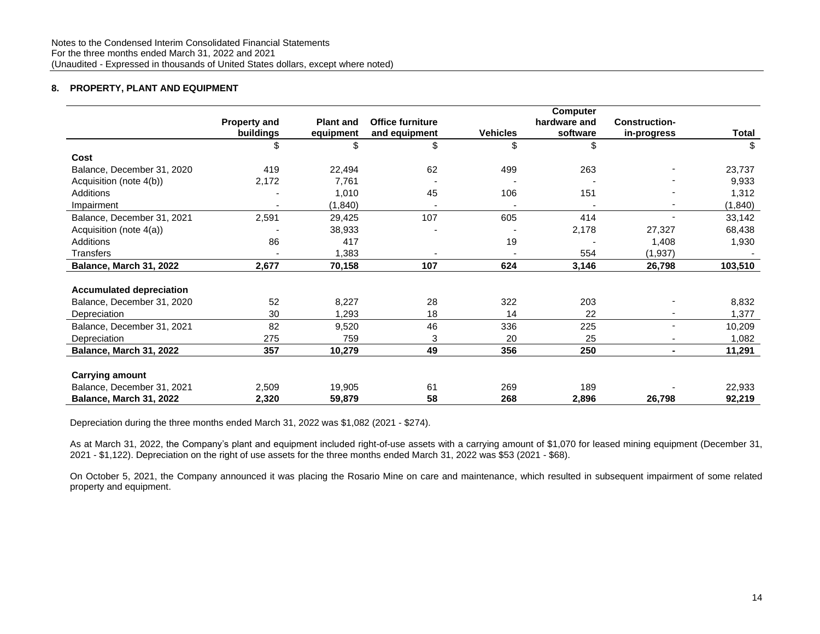## **8. PROPERTY, PLANT AND EQUIPMENT**

|                                 |                     | <b>Computer</b>  |                         |                          |              |                          |          |
|---------------------------------|---------------------|------------------|-------------------------|--------------------------|--------------|--------------------------|----------|
|                                 | <b>Property and</b> | <b>Plant and</b> | <b>Office furniture</b> |                          | hardware and | <b>Construction-</b>     |          |
|                                 | buildings           | equipment        | and equipment           | <b>Vehicles</b>          | software     | in-progress              | Total    |
|                                 | \$                  | \$               | \$                      | \$                       | \$           |                          | \$       |
| Cost                            |                     |                  |                         |                          |              |                          |          |
| Balance, December 31, 2020      | 419                 | 22,494           | 62                      | 499                      | 263          |                          | 23,737   |
| Acquisition (note 4(b))         | 2,172               | 7,761            |                         |                          |              |                          | 9,933    |
| Additions                       |                     | 1,010            | 45                      | 106                      | 151          |                          | 1,312    |
| Impairment                      |                     | (1, 840)         |                         |                          |              |                          | (1, 840) |
| Balance, December 31, 2021      | 2,591               | 29,425           | 107                     | 605                      | 414          | $\blacksquare$           | 33,142   |
| Acquisition (note 4(a))         |                     | 38,933           |                         |                          | 2,178        | 27,327                   | 68,438   |
| Additions                       | 86                  | 417              |                         | 19                       |              | 1,408                    | 1,930    |
| Transfers                       |                     | 1,383            |                         | $\overline{\phantom{a}}$ | 554          | (1, 937)                 |          |
| Balance, March 31, 2022         | 2,677               | 70,158           | 107                     | 624                      | 3,146        | 26,798                   | 103,510  |
|                                 |                     |                  |                         |                          |              |                          |          |
| <b>Accumulated depreciation</b> |                     |                  |                         |                          |              |                          |          |
| Balance, December 31, 2020      | 52                  | 8,227            | 28                      | 322                      | 203          |                          | 8,832    |
| Depreciation                    | 30                  | 1,293            | 18                      | 14                       | 22           | $\overline{\phantom{a}}$ | 1,377    |
| Balance, December 31, 2021      | 82                  | 9,520            | 46                      | 336                      | 225          | ٠                        | 10,209   |
| Depreciation                    | 275                 | 759              | 3                       | 20                       | 25           | ٠                        | 1,082    |
| Balance, March 31, 2022         | 357                 | 10,279           | 49                      | 356                      | 250          | $\blacksquare$           | 11,291   |
|                                 |                     |                  |                         |                          |              |                          |          |
| <b>Carrying amount</b>          |                     |                  |                         |                          |              |                          |          |
| Balance, December 31, 2021      | 2,509               | 19,905           | 61                      | 269                      | 189          |                          | 22,933   |
| Balance, March 31, 2022         | 2,320               | 59,879           | 58                      | 268                      | 2,896        | 26,798                   | 92,219   |

Depreciation during the three months ended March 31, 2022 was \$1,082 (2021 - \$274).

As at March 31, 2022, the Company's plant and equipment included right-of-use assets with a carrying amount of \$1,070 for leased mining equipment (December 31, 2021 - \$1,122). Depreciation on the right of use assets for the three months ended March 31, 2022 was \$53 (2021 - \$68).

On October 5, 2021, the Company announced it was placing the Rosario Mine on care and maintenance, which resulted in subsequent impairment of some related property and equipment.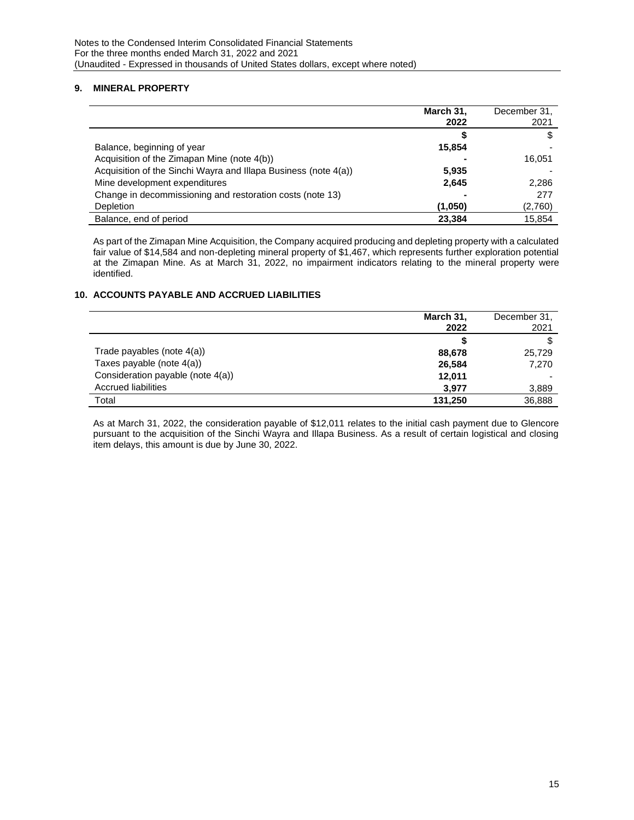### **9. MINERAL PROPERTY**

|                                                                 | March 31,<br>2022 | December 31,<br>2021 |
|-----------------------------------------------------------------|-------------------|----------------------|
|                                                                 |                   |                      |
| Balance, beginning of year                                      | 15,854            |                      |
| Acquisition of the Zimapan Mine (note 4(b))                     |                   | 16.051               |
| Acquisition of the Sinchi Wayra and Illapa Business (note 4(a)) | 5,935             |                      |
| Mine development expenditures                                   | 2,645             | 2,286                |
| Change in decommissioning and restoration costs (note 13)       |                   | 277                  |
| Depletion                                                       | (1,050)           | (2,760)              |
| Balance, end of period                                          | 23,384            | 15,854               |

As part of the Zimapan Mine Acquisition, the Company acquired producing and depleting property with a calculated fair value of \$14,584 and non-depleting mineral property of \$1,467, which represents further exploration potential at the Zimapan Mine. As at March 31, 2022, no impairment indicators relating to the mineral property were identified.

### **10. ACCOUNTS PAYABLE AND ACCRUED LIABILITIES**

|                                   | March 31,<br>2022 | December 31,<br>2021 |
|-----------------------------------|-------------------|----------------------|
|                                   |                   |                      |
| Trade payables (note $4(a)$ )     | 88,678            | 25,729               |
| Taxes payable (note 4(a))         | 26,584            | 7.270                |
| Consideration payable (note 4(a)) | 12,011            |                      |
| Accrued liabilities               | 3,977             | 3,889                |
| Total                             | 131.250           | 36.888               |

As at March 31, 2022, the consideration payable of \$12,011 relates to the initial cash payment due to Glencore pursuant to the acquisition of the Sinchi Wayra and Illapa Business. As a result of certain logistical and closing item delays, this amount is due by June 30, 2022.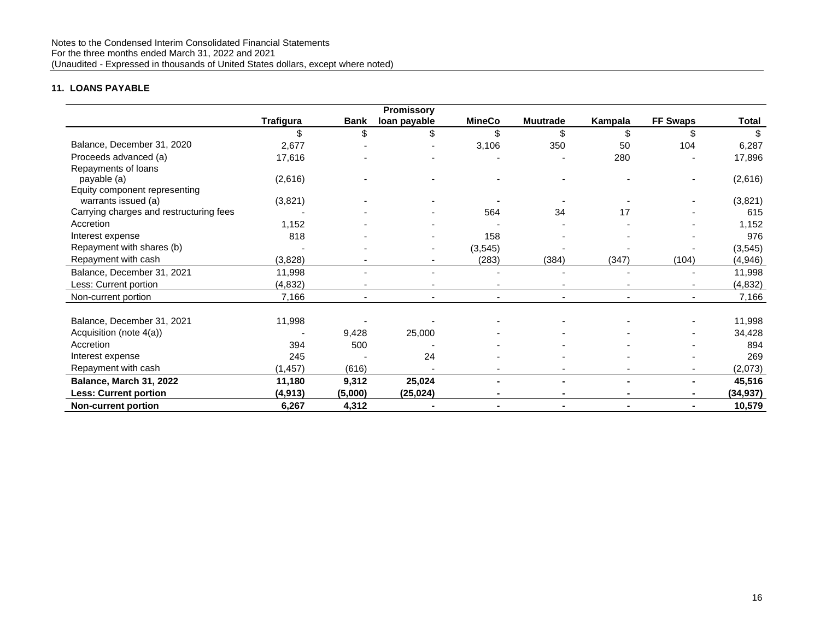## **11. LOANS PAYABLE**

|                                         |                  |             | <b>Promissory</b> |                |                 |         |                 |           |
|-----------------------------------------|------------------|-------------|-------------------|----------------|-----------------|---------|-----------------|-----------|
|                                         | <b>Trafigura</b> | <b>Bank</b> | loan payable      | <b>MineCo</b>  | <b>Muutrade</b> | Kampala | <b>FF Swaps</b> | Total     |
|                                         | \$               | \$          | \$                | \$             |                 | \$      |                 | \$        |
| Balance, December 31, 2020              | 2,677            |             |                   | 3,106          | 350             | 50      | 104             | 6,287     |
| Proceeds advanced (a)                   | 17,616           |             |                   |                |                 | 280     |                 | 17,896    |
| Repayments of loans                     |                  |             |                   |                |                 |         |                 |           |
| payable (a)                             | (2,616)          |             |                   |                |                 |         |                 | (2,616)   |
| Equity component representing           |                  |             |                   |                |                 |         |                 |           |
| warrants issued (a)                     | (3,821)          |             |                   |                |                 |         |                 | (3,821)   |
| Carrying charges and restructuring fees |                  |             |                   | 564            | 34              | 17      |                 | 615       |
| Accretion                               | 1,152            |             |                   |                |                 |         |                 | 1,152     |
| Interest expense                        | 818              |             |                   | 158            |                 |         |                 | 976       |
| Repayment with shares (b)               |                  |             |                   | (3, 545)       |                 |         |                 | (3, 545)  |
| Repayment with cash                     | (3,828)          |             |                   | (283)          | (384)           | (347)   | (104)           | (4,946)   |
| Balance, December 31, 2021              | 11,998           |             |                   |                |                 |         |                 | 11,998    |
| Less: Current portion                   | (4, 832)         |             |                   |                |                 |         |                 | (4, 832)  |
| Non-current portion                     | 7,166            |             |                   | $\blacksquare$ |                 |         |                 | 7,166     |
|                                         |                  |             |                   |                |                 |         |                 |           |
| Balance, December 31, 2021              | 11,998           |             |                   |                |                 |         |                 | 11,998    |
| Acquisition (note 4(a))                 |                  | 9,428       | 25,000            |                |                 |         |                 | 34,428    |
| Accretion                               | 394              | 500         |                   |                |                 |         |                 | 894       |
| Interest expense                        | 245              |             | 24                |                |                 |         |                 | 269       |
| Repayment with cash                     | (1, 457)         | (616)       |                   |                |                 |         |                 | (2,073)   |
| Balance, March 31, 2022                 | 11,180           | 9,312       | 25,024            |                |                 |         |                 | 45,516    |
| <b>Less: Current portion</b>            | (4, 913)         | (5,000)     | (25, 024)         | Ξ.             |                 |         |                 | (34, 937) |
| <b>Non-current portion</b>              | 6,267            | 4,312       |                   | Ξ.             | $\blacksquare$  |         |                 | 10,579    |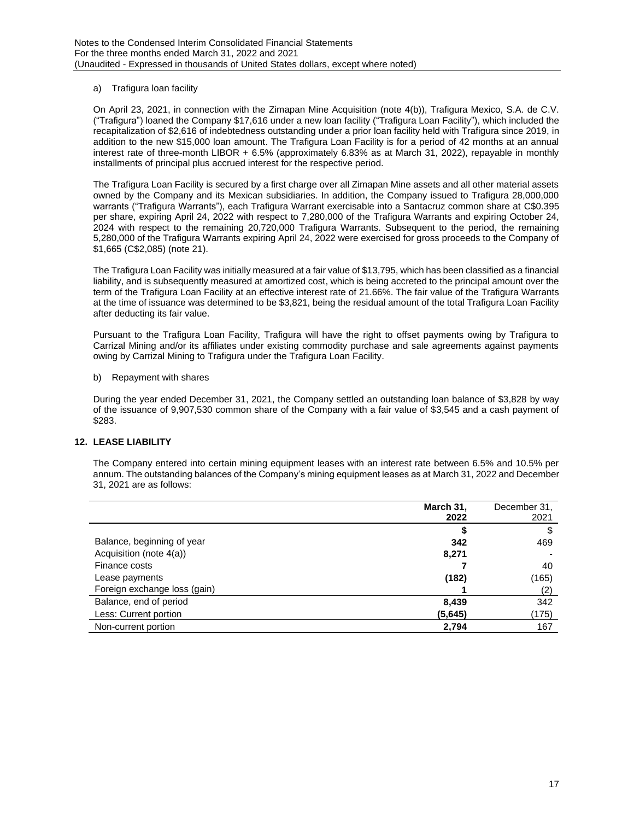### a) Trafigura loan facility

On April 23, 2021, in connection with the Zimapan Mine Acquisition (note 4(b)), Trafigura Mexico, S.A. de C.V. ("Trafigura") loaned the Company \$17,616 under a new loan facility ("Trafigura Loan Facility"), which included the recapitalization of \$2,616 of indebtedness outstanding under a prior loan facility held with Trafigura since 2019, in addition to the new \$15,000 loan amount. The Trafigura Loan Facility is for a period of 42 months at an annual interest rate of three-month LIBOR + 6.5% (approximately 6.83% as at March 31, 2022), repayable in monthly installments of principal plus accrued interest for the respective period.

The Trafigura Loan Facility is secured by a first charge over all Zimapan Mine assets and all other material assets owned by the Company and its Mexican subsidiaries. In addition, the Company issued to Trafigura 28,000,000 warrants ("Trafigura Warrants"), each Trafigura Warrant exercisable into a Santacruz common share at C\$0.395 per share, expiring April 24, 2022 with respect to 7,280,000 of the Trafigura Warrants and expiring October 24, 2024 with respect to the remaining 20,720,000 Trafigura Warrants. Subsequent to the period, the remaining 5,280,000 of the Trafigura Warrants expiring April 24, 2022 were exercised for gross proceeds to the Company of \$1,665 (C\$2,085) (note 21).

The Trafigura Loan Facility was initially measured at a fair value of \$13,795, which has been classified as a financial liability, and is subsequently measured at amortized cost, which is being accreted to the principal amount over the term of the Trafigura Loan Facility at an effective interest rate of 21.66%. The fair value of the Trafigura Warrants at the time of issuance was determined to be \$3,821, being the residual amount of the total Trafigura Loan Facility after deducting its fair value.

Pursuant to the Trafigura Loan Facility, Trafigura will have the right to offset payments owing by Trafigura to Carrizal Mining and/or its affiliates under existing commodity purchase and sale agreements against payments owing by Carrizal Mining to Trafigura under the Trafigura Loan Facility.

b) Repayment with shares

During the year ended December 31, 2021, the Company settled an outstanding loan balance of \$3,828 by way of the issuance of 9,907,530 common share of the Company with a fair value of \$3,545 and a cash payment of \$283.

## **12. LEASE LIABILITY**

The Company entered into certain mining equipment leases with an interest rate between 6.5% and 10.5% per annum. The outstanding balances of the Company's mining equipment leases as at March 31, 2022 and December 31, 2021 are as follows:

|                              | March 31, | December 31, |
|------------------------------|-----------|--------------|
|                              | 2022      | 2021         |
|                              |           | S            |
| Balance, beginning of year   | 342       | 469          |
| Acquisition (note 4(a))      | 8,271     |              |
| Finance costs                |           | 40           |
| Lease payments               | (182)     | (165)        |
| Foreign exchange loss (gain) |           | (2)          |
| Balance, end of period       | 8,439     | 342          |
| Less: Current portion        | (5,645)   | (175)        |
| Non-current portion          | 2,794     | 167          |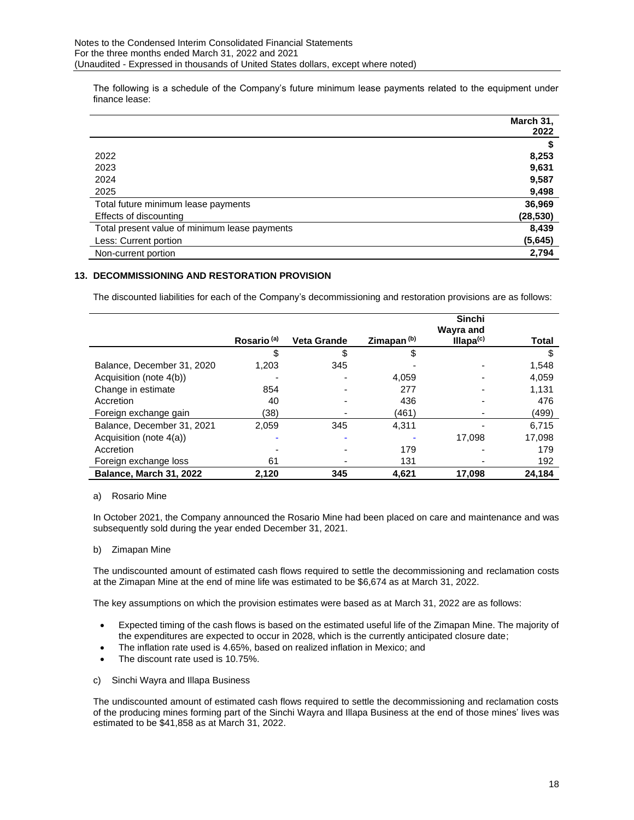The following is a schedule of the Company's future minimum lease payments related to the equipment under finance lease:

|                                               | March 31, |
|-----------------------------------------------|-----------|
|                                               | 2022      |
|                                               |           |
| 2022                                          | 8,253     |
| 2023                                          | 9,631     |
| 2024                                          | 9,587     |
| 2025                                          | 9,498     |
| Total future minimum lease payments           | 36,969    |
| Effects of discounting                        | (28, 530) |
| Total present value of minimum lease payments | 8,439     |
| Less: Current portion                         | (5,645)   |
| Non-current portion                           | 2,794     |

## **13. DECOMMISSIONING AND RESTORATION PROVISION**

The discounted liabilities for each of the Company's decommissioning and restoration provisions are as follows:

|                            |                        |                    |                        | <b>Sinchi</b><br>Wayra and |        |
|----------------------------|------------------------|--------------------|------------------------|----------------------------|--------|
|                            | Rosario <sup>(a)</sup> | <b>Veta Grande</b> | Zimapan <sup>(b)</sup> | Illapa <sup>(c)</sup>      | Total  |
|                            | \$                     | \$                 | \$                     |                            |        |
| Balance, December 31, 2020 | 1.203                  | 345                |                        |                            | 1,548  |
| Acquisition (note 4(b))    |                        |                    | 4,059                  |                            | 4,059  |
| Change in estimate         | 854                    |                    | 277                    |                            | 1.131  |
| Accretion                  | 40                     |                    | 436                    |                            | 476    |
| Foreign exchange gain      | (38)                   |                    | (461)                  |                            | (499)  |
| Balance, December 31, 2021 | 2,059                  | 345                | 4,311                  |                            | 6.715  |
| Acquisition (note 4(a))    |                        |                    |                        | 17.098                     | 17,098 |
| Accretion                  |                        |                    | 179                    |                            | 179    |
| Foreign exchange loss      | 61                     |                    | 131                    |                            | 192    |
| Balance, March 31, 2022    | 2.120                  | 345                | 4.621                  | 17,098                     | 24.184 |

### a) Rosario Mine

In October 2021, the Company announced the Rosario Mine had been placed on care and maintenance and was subsequently sold during the year ended December 31, 2021.

### b) Zimapan Mine

The undiscounted amount of estimated cash flows required to settle the decommissioning and reclamation costs at the Zimapan Mine at the end of mine life was estimated to be \$6,674 as at March 31, 2022.

The key assumptions on which the provision estimates were based as at March 31, 2022 are as follows:

- Expected timing of the cash flows is based on the estimated useful life of the Zimapan Mine. The majority of the expenditures are expected to occur in 2028, which is the currently anticipated closure date;
- The inflation rate used is 4.65%, based on realized inflation in Mexico; and
- The discount rate used is 10.75%.
- c) Sinchi Wayra and Illapa Business

The undiscounted amount of estimated cash flows required to settle the decommissioning and reclamation costs of the producing mines forming part of the Sinchi Wayra and Illapa Business at the end of those mines' lives was estimated to be \$41,858 as at March 31, 2022.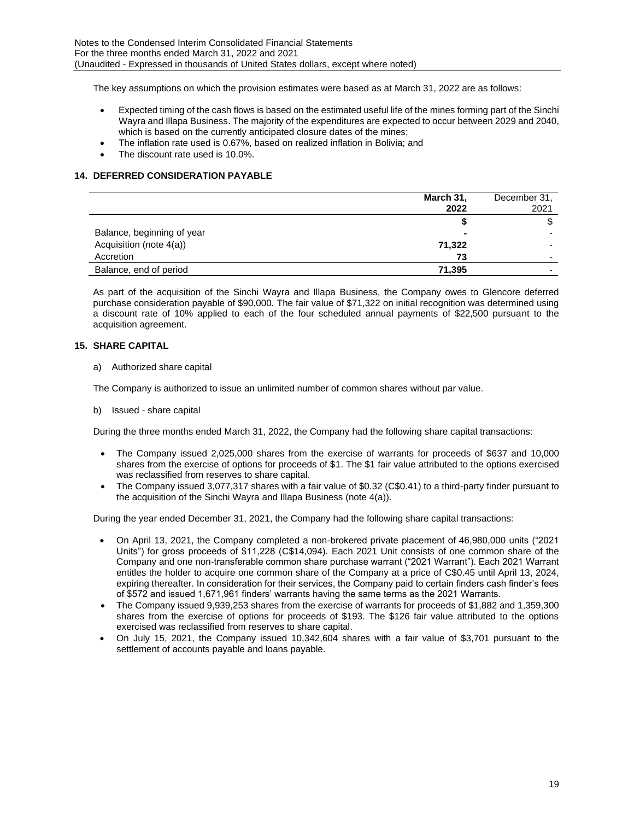The key assumptions on which the provision estimates were based as at March 31, 2022 are as follows:

- Expected timing of the cash flows is based on the estimated useful life of the mines forming part of the Sinchi Wayra and Illapa Business. The majority of the expenditures are expected to occur between 2029 and 2040, which is based on the currently anticipated closure dates of the mines;
- The inflation rate used is 0.67%, based on realized inflation in Bolivia; and
- The discount rate used is 10.0%.

## **14. DEFERRED CONSIDERATION PAYABLE**

|                            | March 31,<br>2022 | December 31.<br>2021     |
|----------------------------|-------------------|--------------------------|
|                            |                   | S                        |
| Balance, beginning of year |                   |                          |
| Acquisition (note 4(a))    | 71,322            |                          |
| Accretion                  | 73                | -                        |
| Balance, end of period     | 71,395            | $\overline{\phantom{0}}$ |

As part of the acquisition of the Sinchi Wayra and Illapa Business, the Company owes to Glencore deferred purchase consideration payable of \$90,000. The fair value of \$71,322 on initial recognition was determined using a discount rate of 10% applied to each of the four scheduled annual payments of \$22,500 pursuant to the acquisition agreement.

## **15. SHARE CAPITAL**

a) Authorized share capital

The Company is authorized to issue an unlimited number of common shares without par value.

b) Issued - share capital

During the three months ended March 31, 2022, the Company had the following share capital transactions:

- The Company issued 2,025,000 shares from the exercise of warrants for proceeds of \$637 and 10,000 shares from the exercise of options for proceeds of \$1. The \$1 fair value attributed to the options exercised was reclassified from reserves to share capital.
- The Company issued 3,077,317 shares with a fair value of \$0.32 (C\$0.41) to a third-party finder pursuant to the acquisition of the Sinchi Wayra and Illapa Business (note 4(a)).

During the year ended December 31, 2021, the Company had the following share capital transactions:

- On April 13, 2021, the Company completed a non-brokered private placement of 46,980,000 units ("2021 Units") for gross proceeds of \$11,228 (C\$14,094). Each 2021 Unit consists of one common share of the Company and one non-transferable common share purchase warrant ("2021 Warrant"). Each 2021 Warrant entitles the holder to acquire one common share of the Company at a price of C\$0.45 until April 13, 2024, expiring thereafter. In consideration for their services, the Company paid to certain finders cash finder's fees of \$572 and issued 1,671,961 finders' warrants having the same terms as the 2021 Warrants.
- The Company issued 9,939,253 shares from the exercise of warrants for proceeds of \$1,882 and 1,359,300 shares from the exercise of options for proceeds of \$193. The \$126 fair value attributed to the options exercised was reclassified from reserves to share capital.
- On July 15, 2021, the Company issued 10,342,604 shares with a fair value of \$3,701 pursuant to the settlement of accounts payable and loans payable.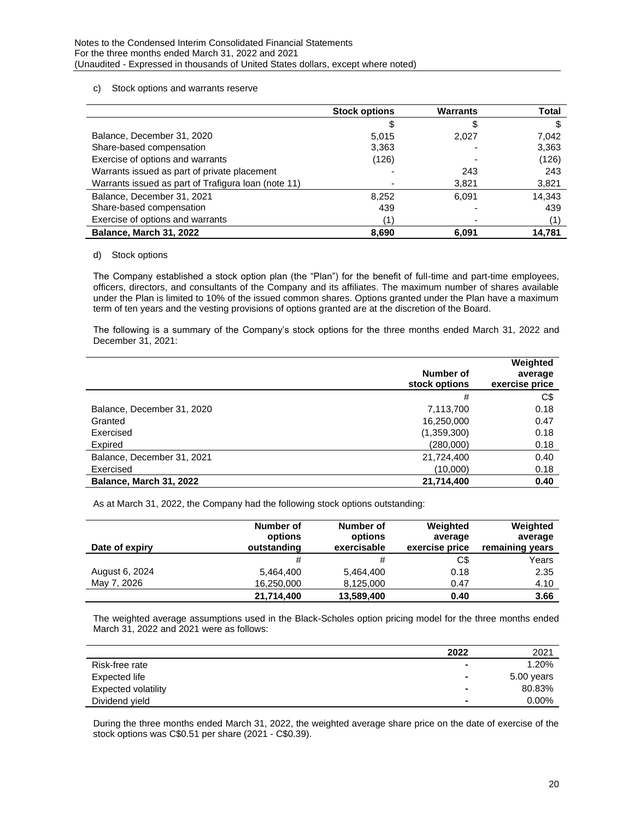### c) Stock options and warrants reserve

|                                                     | <b>Stock options</b> | <b>Warrants</b> | <b>Total</b> |
|-----------------------------------------------------|----------------------|-----------------|--------------|
|                                                     |                      |                 |              |
| Balance, December 31, 2020                          | 5.015                | 2.027           | 7,042        |
| Share-based compensation                            | 3,363                |                 | 3,363        |
| Exercise of options and warrants                    | (126)                |                 | (126)        |
| Warrants issued as part of private placement        |                      | 243             | 243          |
| Warrants issued as part of Trafigura loan (note 11) |                      | 3,821           | 3,821        |
| Balance, December 31, 2021                          | 8,252                | 6.091           | 14,343       |
| Share-based compensation                            | 439                  |                 | 439          |
| Exercise of options and warrants                    |                      |                 |              |
| Balance, March 31, 2022                             | 8,690                | 6.091           | 14.781       |

### d) Stock options

The Company established a stock option plan (the "Plan") for the benefit of full-time and part-time employees, officers, directors, and consultants of the Company and its affiliates. The maximum number of shares available under the Plan is limited to 10% of the issued common shares. Options granted under the Plan have a maximum term of ten years and the vesting provisions of options granted are at the discretion of the Board.

The following is a summary of the Company's stock options for the three months ended March 31, 2022 and December 31, 2021:

|                            | Number of<br>stock options | Weighted<br>average<br>exercise price |
|----------------------------|----------------------------|---------------------------------------|
|                            | #                          | C\$                                   |
| Balance, December 31, 2020 | 7,113,700                  | 0.18                                  |
| Granted                    | 16,250,000                 | 0.47                                  |
| Exercised                  | (1,359,300)                | 0.18                                  |
| Expired                    | (280,000)                  | 0.18                                  |
| Balance, December 31, 2021 | 21,724,400                 | 0.40                                  |
| Exercised                  | (10,000)                   | 0.18                                  |
| Balance, March 31, 2022    | 21,714,400                 | 0.40                                  |

As at March 31, 2022, the Company had the following stock options outstanding:

| Date of expiry | Number of<br>options<br>outstanding | Number of<br>options<br>exercisable | Weighted<br>average<br>exercise price | Weighted<br>average<br>remaining years |
|----------------|-------------------------------------|-------------------------------------|---------------------------------------|----------------------------------------|
|                | #                                   | #                                   | C\$                                   | Years                                  |
| August 6, 2024 | 5,464,400                           | 5,464,400                           | 0.18                                  | 2.35                                   |
| May 7, 2026    | 16,250,000                          | 8,125,000                           | 0.47                                  | 4.10                                   |
|                | 21,714,400                          | 13,589,400                          | 0.40                                  | 3.66                                   |

The weighted average assumptions used in the Black-Scholes option pricing model for the three months ended March 31, 2022 and 2021 were as follows:

|                            | 2022 | 2021       |
|----------------------------|------|------------|
| Risk-free rate             |      | 1.20%      |
| Expected life              |      | 5.00 years |
| <b>Expected volatility</b> |      | 80.83%     |
| Dividend yield             |      | $0.00\%$   |

During the three months ended March 31, 2022, the weighted average share price on the date of exercise of the stock options was C\$0.51 per share (2021 - C\$0.39).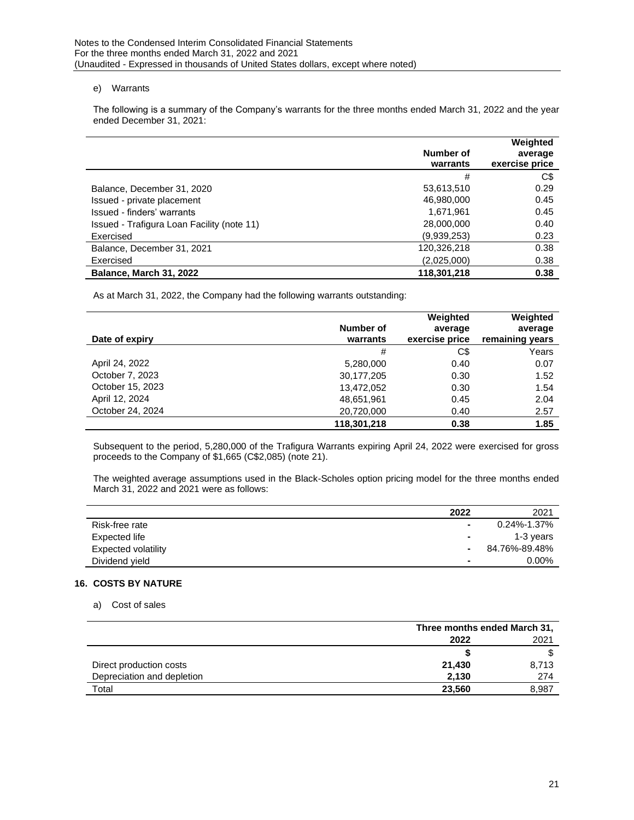### e) Warrants

The following is a summary of the Company's warrants for the three months ended March 31, 2022 and the year ended December 31, 2021:

|                                            | Number of<br>warrants | Weighted<br>average<br>exercise price |
|--------------------------------------------|-----------------------|---------------------------------------|
|                                            | #                     | C\$                                   |
| Balance, December 31, 2020                 | 53,613,510            | 0.29                                  |
| Issued - private placement                 | 46,980,000            | 0.45                                  |
| Issued - finders' warrants                 | 1,671,961             | 0.45                                  |
| Issued - Trafigura Loan Facility (note 11) | 28,000,000            | 0.40                                  |
| Exercised                                  | (9,939,253)           | 0.23                                  |
| Balance, December 31, 2021                 | 120,326,218           | 0.38                                  |
| Exercised                                  | (2,025,000)           | 0.38                                  |
| Balance, March 31, 2022                    | 118,301,218           | 0.38                                  |

As at March 31, 2022, the Company had the following warrants outstanding:

| Date of expiry   | Number of<br>warrants | Weighted<br>average<br>exercise price | Weighted<br>average<br>remaining years |
|------------------|-----------------------|---------------------------------------|----------------------------------------|
|                  | #                     | C\$                                   | Years                                  |
| April 24, 2022   | 5,280,000             | 0.40                                  | 0.07                                   |
| October 7, 2023  | 30,177,205            | 0.30                                  | 1.52                                   |
| October 15, 2023 | 13,472,052            | 0.30                                  | 1.54                                   |
| April 12, 2024   | 48,651,961            | 0.45                                  | 2.04                                   |
| October 24, 2024 | 20,720,000            | 0.40                                  | 2.57                                   |
|                  | 118.301.218           | 0.38                                  | 1.85                                   |

Subsequent to the period, 5,280,000 of the Trafigura Warrants expiring April 24, 2022 were exercised for gross proceeds to the Company of \$1,665 (C\$2,085) (note 21).

The weighted average assumptions used in the Black-Scholes option pricing model for the three months ended March 31, 2022 and 2021 were as follows:

|                            | 2022           | 2021              |
|----------------------------|----------------|-------------------|
| Risk-free rate             | $\blacksquare$ | $0.24\% - 1.37\%$ |
| Expected life              | $\blacksquare$ | 1-3 years         |
| <b>Expected volatility</b> | $\blacksquare$ | 84.76%-89.48%     |
| Dividend yield             | $\blacksquare$ | $0.00\%$          |

### **16. COSTS BY NATURE**

a) Cost of sales

|                            | Three months ended March 31, |       |  |
|----------------------------|------------------------------|-------|--|
|                            | 2022                         | 2021  |  |
|                            |                              |       |  |
| Direct production costs    | 21,430                       | 8,713 |  |
| Depreciation and depletion | 2.130                        | 274   |  |
| Total                      | 23,560                       | 8,987 |  |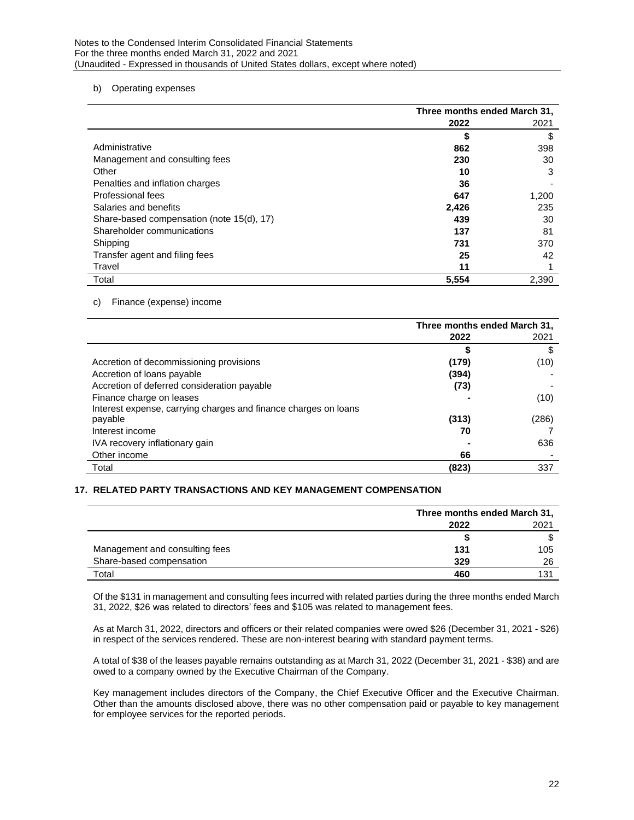### b) Operating expenses

|                                           | Three months ended March 31, |       |  |
|-------------------------------------------|------------------------------|-------|--|
|                                           | 2022                         | 2021  |  |
|                                           | \$                           | \$    |  |
| Administrative                            | 862                          | 398   |  |
| Management and consulting fees            | 230                          | 30    |  |
| Other                                     | 10                           | 3     |  |
| Penalties and inflation charges           | 36                           |       |  |
| Professional fees                         | 647                          | 1,200 |  |
| Salaries and benefits                     | 2,426                        | 235   |  |
| Share-based compensation (note 15(d), 17) | 439                          | 30    |  |
| Shareholder communications                | 137                          | 81    |  |
| Shipping                                  | 731                          | 370   |  |
| Transfer agent and filing fees            | 25                           | 42    |  |
| Travel                                    | 11                           |       |  |
| Total                                     | 5,554                        | 2,390 |  |

## c) Finance (expense) income

|                                                                 | Three months ended March 31, |       |
|-----------------------------------------------------------------|------------------------------|-------|
|                                                                 | 2022                         | 2021  |
|                                                                 |                              | S     |
| Accretion of decommissioning provisions                         | (179)                        | (10)  |
| Accretion of loans payable                                      | (394)                        |       |
| Accretion of deferred consideration payable                     | (73)                         |       |
| Finance charge on leases                                        |                              | (10)  |
| Interest expense, carrying charges and finance charges on loans |                              |       |
| payable                                                         | (313)                        | (286) |
| Interest income                                                 | 70                           |       |
| IVA recovery inflationary gain                                  |                              | 636   |
| Other income                                                    | 66                           |       |
| Total                                                           | (823)                        | 337   |

## **17. RELATED PARTY TRANSACTIONS AND KEY MANAGEMENT COMPENSATION**

|                                | Three months ended March 31, |     |  |
|--------------------------------|------------------------------|-----|--|
|                                | 2021<br>2022                 |     |  |
|                                |                              |     |  |
| Management and consulting fees | 131                          | 105 |  |
| Share-based compensation       | 329                          | 26  |  |
| Total                          | 460                          | 131 |  |

Of the \$131 in management and consulting fees incurred with related parties during the three months ended March 31, 2022, \$26 was related to directors' fees and \$105 was related to management fees.

As at March 31, 2022, directors and officers or their related companies were owed \$26 (December 31, 2021 - \$26) in respect of the services rendered. These are non-interest bearing with standard payment terms.

A total of \$38 of the leases payable remains outstanding as at March 31, 2022 (December 31, 2021 - \$38) and are owed to a company owned by the Executive Chairman of the Company.

Key management includes directors of the Company, the Chief Executive Officer and the Executive Chairman. Other than the amounts disclosed above, there was no other compensation paid or payable to key management for employee services for the reported periods.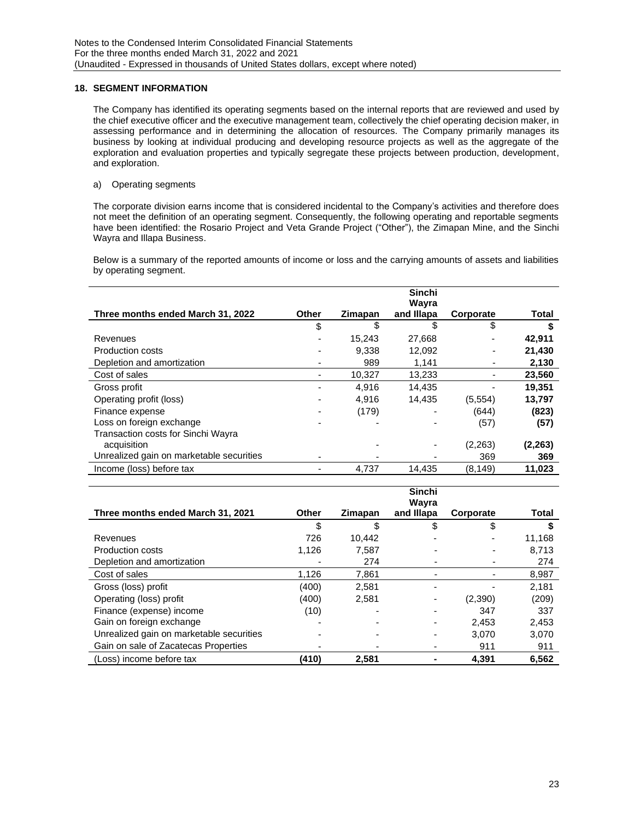## **18. SEGMENT INFORMATION**

The Company has identified its operating segments based on the internal reports that are reviewed and used by the chief executive officer and the executive management team, collectively the chief operating decision maker, in assessing performance and in determining the allocation of resources. The Company primarily manages its business by looking at individual producing and developing resource projects as well as the aggregate of the exploration and evaluation properties and typically segregate these projects between production, development, and exploration.

a) Operating segments

The corporate division earns income that is considered incidental to the Company's activities and therefore does not meet the definition of an operating segment. Consequently, the following operating and reportable segments have been identified: the Rosario Project and Veta Grande Project ("Other"), the Zimapan Mine, and the Sinchi Wayra and Illapa Business.

Below is a summary of the reported amounts of income or loss and the carrying amounts of assets and liabilities by operating segment.

|                                          |              |         | <b>Sinchi</b><br>Wayra |           |              |
|------------------------------------------|--------------|---------|------------------------|-----------|--------------|
| Three months ended March 31, 2022        | <b>Other</b> | Zimapan | and Illapa             | Corporate | <b>Total</b> |
|                                          | \$           | \$      | \$                     | \$        |              |
| Revenues                                 |              | 15,243  | 27,668                 |           | 42,911       |
| <b>Production costs</b>                  |              | 9.338   | 12,092                 |           | 21,430       |
| Depletion and amortization               |              | 989     | 1,141                  |           | 2,130        |
| Cost of sales                            |              | 10,327  | 13,233                 |           | 23,560       |
| Gross profit                             |              | 4.916   | 14.435                 |           | 19.351       |
| Operating profit (loss)                  |              | 4.916   | 14.435                 | (5, 554)  | 13,797       |
| Finance expense                          |              | (179)   |                        | (644)     | (823)        |
| Loss on foreign exchange                 |              |         |                        | (57)      | (57)         |
| Transaction costs for Sinchi Wayra       |              |         |                        |           |              |
| acquisition                              |              |         |                        | (2, 263)  | (2, 263)     |
| Unrealized gain on marketable securities |              |         |                        | 369       | 369          |
| Income (loss) before tax                 |              | 4,737   | 14.435                 | (8, 149)  | 11,023       |

|                                          |       |         | <b>Sinchi</b><br>Wayra |           |        |
|------------------------------------------|-------|---------|------------------------|-----------|--------|
| Three months ended March 31, 2021        | Other | Zimapan | and Illapa             | Corporate | Total  |
|                                          | \$    |         | \$                     | \$        |        |
| Revenues                                 | 726   | 10.442  |                        |           | 11,168 |
| <b>Production costs</b>                  | 1.126 | 7.587   |                        |           | 8.713  |
| Depletion and amortization               |       | 274     |                        |           | 274    |
| Cost of sales                            | 1,126 | 7,861   |                        |           | 8,987  |
| Gross (loss) profit                      | (400) | 2,581   |                        |           | 2,181  |
| Operating (loss) profit                  | (400) | 2,581   |                        | (2,390)   | (209)  |
| Finance (expense) income                 | (10)  |         |                        | 347       | 337    |
| Gain on foreign exchange                 |       |         |                        | 2,453     | 2,453  |
| Unrealized gain on marketable securities |       |         |                        | 3.070     | 3.070  |
| Gain on sale of Zacatecas Properties     |       |         |                        | 911       | 911    |
| (Loss) income before tax                 | (410) | 2.581   |                        | 4.391     | 6.562  |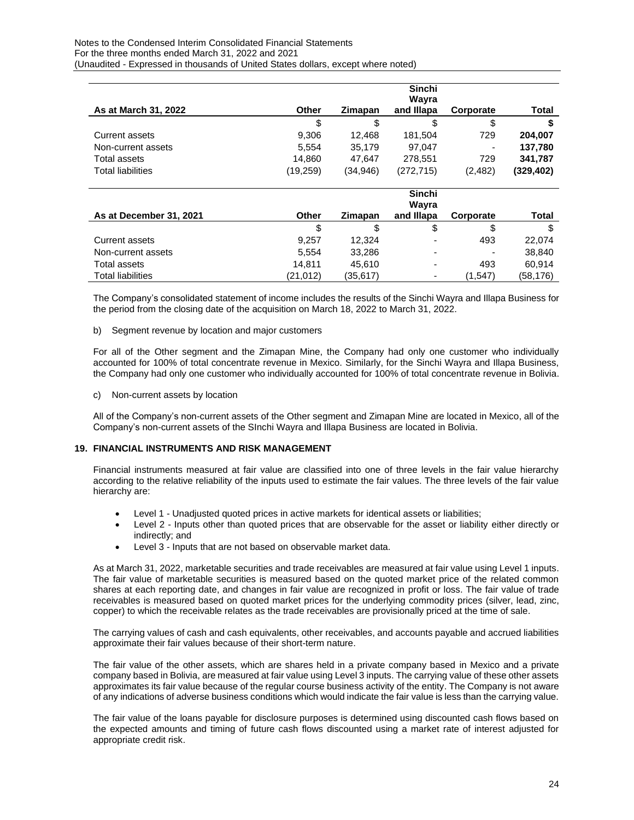#### Notes to the Condensed Interim Consolidated Financial Statements For the three months ended March 31, 2022 and 2021 (Unaudited - Expressed in thousands of United States dollars, except where noted)

|                         |              |           | <b>Sinchi</b>       |           |            |
|-------------------------|--------------|-----------|---------------------|-----------|------------|
| As at March 31, 2022    | Other        | Zimapan   | Wayra<br>and Illapa | Corporate | Total      |
|                         | \$           | \$        | \$                  | \$        |            |
| Current assets          | 9.306        | 12.468    | 181,504             | 729       | 204,007    |
| Non-current assets      | 5,554        | 35,179    | 97,047              |           | 137,780    |
| Total assets            | 14.860       | 47.647    | 278,551             | 729       | 341,787    |
| Total liabilities       | (19, 259)    | (34, 946) | (272, 715)          | (2, 482)  | (329, 402) |
|                         |              |           | Sinchi              |           |            |
| As at December 31, 2021 | <b>Other</b> | Zimapan   | Wayra<br>and Illapa | Corporate | Total      |
|                         | \$           | \$        | \$                  | \$        | \$         |
| Current assets          | 9,257        | 12,324    |                     | 493       | 22,074     |
| Non-current assets      | 5,554        | 33,286    |                     |           | 38,840     |
| Total assets            | 14.811       | 45.610    |                     | 493       | 60.914     |
| Total liabilities       | (21,012)     | (35,617)  |                     | (1,547)   | (58,176)   |

The Company's consolidated statement of income includes the results of the Sinchi Wayra and Illapa Business for the period from the closing date of the acquisition on March 18, 2022 to March 31, 2022.

### b) Segment revenue by location and major customers

For all of the Other segment and the Zimapan Mine, the Company had only one customer who individually accounted for 100% of total concentrate revenue in Mexico. Similarly, for the Sinchi Wayra and Illapa Business, the Company had only one customer who individually accounted for 100% of total concentrate revenue in Bolivia.

c) Non-current assets by location

All of the Company's non-current assets of the Other segment and Zimapan Mine are located in Mexico, all of the Company's non-current assets of the SInchi Wayra and Illapa Business are located in Bolivia.

### **19. FINANCIAL INSTRUMENTS AND RISK MANAGEMENT**

Financial instruments measured at fair value are classified into one of three levels in the fair value hierarchy according to the relative reliability of the inputs used to estimate the fair values. The three levels of the fair value hierarchy are:

- Level 1 Unadjusted quoted prices in active markets for identical assets or liabilities;
- Level 2 Inputs other than quoted prices that are observable for the asset or liability either directly or indirectly; and
- Level 3 Inputs that are not based on observable market data.

As at March 31, 2022, marketable securities and trade receivables are measured at fair value using Level 1 inputs. The fair value of marketable securities is measured based on the quoted market price of the related common shares at each reporting date, and changes in fair value are recognized in profit or loss. The fair value of trade receivables is measured based on quoted market prices for the underlying commodity prices (silver, lead, zinc, copper) to which the receivable relates as the trade receivables are provisionally priced at the time of sale.

The carrying values of cash and cash equivalents, other receivables, and accounts payable and accrued liabilities approximate their fair values because of their short-term nature.

The fair value of the other assets, which are shares held in a private company based in Mexico and a private company based in Bolivia, are measured at fair value using Level 3 inputs. The carrying value of these other assets approximates its fair value because of the regular course business activity of the entity. The Company is not aware of any indications of adverse business conditions which would indicate the fair value is less than the carrying value.

The fair value of the loans payable for disclosure purposes is determined using discounted cash flows based on the expected amounts and timing of future cash flows discounted using a market rate of interest adjusted for appropriate credit risk.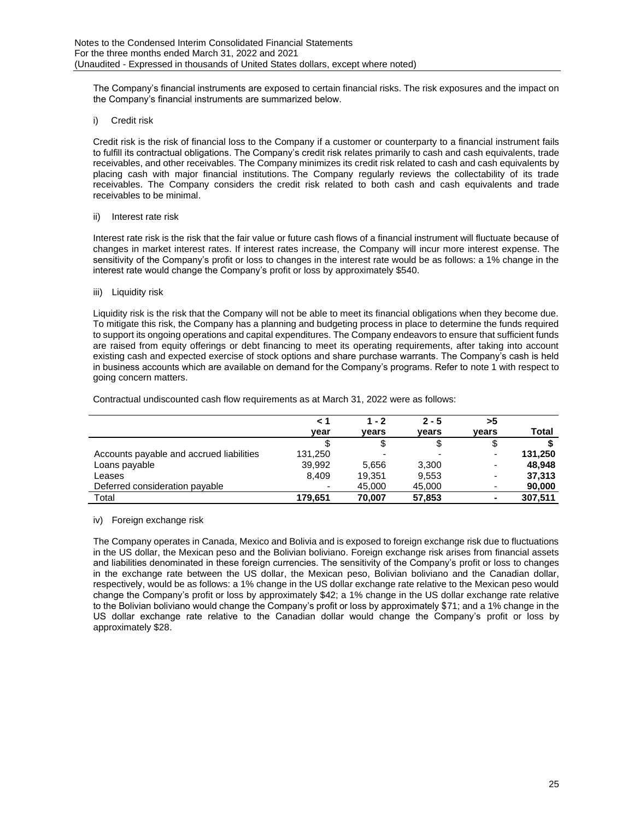The Company's financial instruments are exposed to certain financial risks. The risk exposures and the impact on the Company's financial instruments are summarized below.

i) Credit risk

Credit risk is the risk of financial loss to the Company if a customer or counterparty to a financial instrument fails to fulfill its contractual obligations. The Company's credit risk relates primarily to cash and cash equivalents, trade receivables, and other receivables. The Company minimizes its credit risk related to cash and cash equivalents by placing cash with major financial institutions. The Company regularly reviews the collectability of its trade receivables. The Company considers the credit risk related to both cash and cash equivalents and trade receivables to be minimal.

ii) Interest rate risk

Interest rate risk is the risk that the fair value or future cash flows of a financial instrument will fluctuate because of changes in market interest rates. If interest rates increase, the Company will incur more interest expense. The sensitivity of the Company's profit or loss to changes in the interest rate would be as follows: a 1% change in the interest rate would change the Company's profit or loss by approximately \$540.

### iii) Liquidity risk

Liquidity risk is the risk that the Company will not be able to meet its financial obligations when they become due. To mitigate this risk, the Company has a planning and budgeting process in place to determine the funds required to support its ongoing operations and capital expenditures. The Company endeavors to ensure that sufficient funds are raised from equity offerings or debt financing to meet its operating requirements, after taking into account existing cash and expected exercise of stock options and share purchase warrants. The Company's cash is held in business accounts which are available on demand for the Company's programs. Refer to note 1 with respect to going concern matters.

|                                          |         | 1 - 2  | $2 - 5$ | >5                       |         |
|------------------------------------------|---------|--------|---------|--------------------------|---------|
|                                          | vear    | vears  | vears   | vears                    | Total   |
|                                          |         |        | \$      | \$                       |         |
| Accounts payable and accrued liabilities | 131,250 |        |         | -                        | 131,250 |
| Loans payable                            | 39,992  | 5.656  | 3,300   | $\overline{\phantom{a}}$ | 48.948  |
| Leases                                   | 8,409   | 19,351 | 9,553   | ٠                        | 37,313  |
| Deferred consideration payable           |         | 45,000 | 45,000  | ٠                        | 90,000  |
| Total                                    | 179.651 | 70.007 | 57,853  | $\blacksquare$           | 307,511 |

Contractual undiscounted cash flow requirements as at March 31, 2022 were as follows:

iv) Foreign exchange risk

The Company operates in Canada, Mexico and Bolivia and is exposed to foreign exchange risk due to fluctuations in the US dollar, the Mexican peso and the Bolivian boliviano. Foreign exchange risk arises from financial assets and liabilities denominated in these foreign currencies. The sensitivity of the Company's profit or loss to changes in the exchange rate between the US dollar, the Mexican peso, Bolivian boliviano and the Canadian dollar, respectively, would be as follows: a 1% change in the US dollar exchange rate relative to the Mexican peso would change the Company's profit or loss by approximately \$42; a 1% change in the US dollar exchange rate relative to the Bolivian boliviano would change the Company's profit or loss by approximately \$71; and a 1% change in the US dollar exchange rate relative to the Canadian dollar would change the Company's profit or loss by approximately \$28.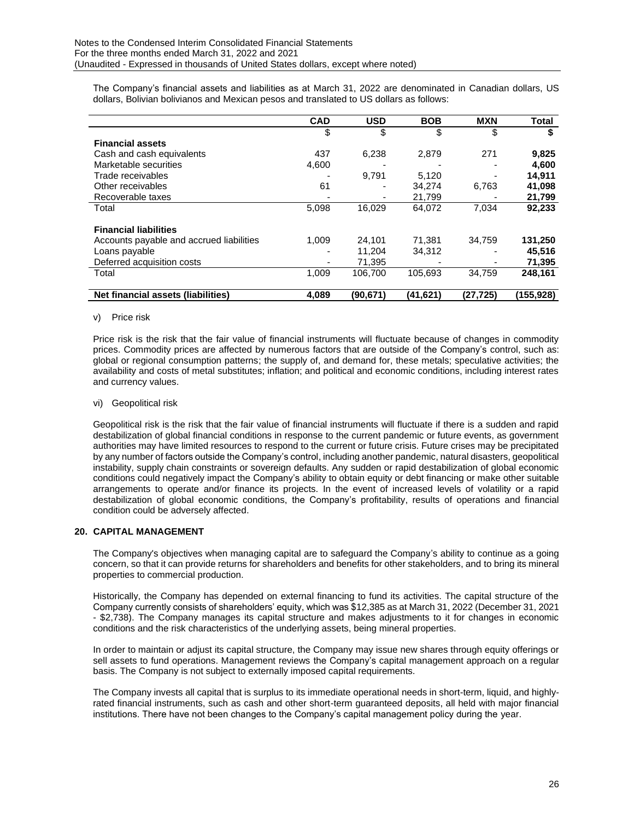The Company's financial assets and liabilities as at March 31, 2022 are denominated in Canadian dollars, US dollars, Bolivian bolivianos and Mexican pesos and translated to US dollars as follows:

|                                           | <b>CAD</b> | <b>USD</b> | <b>BOB</b> | <b>MXN</b> | Total     |
|-------------------------------------------|------------|------------|------------|------------|-----------|
|                                           | \$         | \$         | \$         | \$         | S         |
| <b>Financial assets</b>                   |            |            |            |            |           |
| Cash and cash equivalents                 | 437        | 6,238      | 2,879      | 271        | 9,825     |
| Marketable securities                     | 4,600      |            |            |            | 4.600     |
| Trade receivables                         |            | 9.791      | 5.120      | -          | 14.911    |
| Other receivables                         | 61         |            | 34,274     | 6,763      | 41,098    |
| Recoverable taxes                         |            |            | 21.799     |            | 21,799    |
| Total                                     | 5,098      | 16.029     | 64,072     | 7,034      | 92,233    |
| <b>Financial liabilities</b>              |            |            |            |            |           |
| Accounts payable and accrued liabilities  | 1.009      | 24.101     | 71.381     | 34,759     | 131,250   |
| Loans payable                             |            | 11.204     | 34.312     |            | 45,516    |
| Deferred acquisition costs                |            | 71.395     |            | -          | 71,395    |
| Total                                     | 1.009      | 106.700    | 105.693    | 34,759     | 248,161   |
| <b>Net financial assets (liabilities)</b> | 4.089      | (90, 671)  | (41,621)   | (27,725)   | (155,928) |

### v) Price risk

Price risk is the risk that the fair value of financial instruments will fluctuate because of changes in commodity prices. Commodity prices are affected by numerous factors that are outside of the Company's control, such as: global or regional consumption patterns; the supply of, and demand for, these metals; speculative activities; the availability and costs of metal substitutes; inflation; and political and economic conditions, including interest rates and currency values.

### vi) Geopolitical risk

Geopolitical risk is the risk that the fair value of financial instruments will fluctuate if there is a sudden and rapid destabilization of global financial conditions in response to the current pandemic or future events, as government authorities may have limited resources to respond to the current or future crisis. Future crises may be precipitated by any number of factors outside the Company's control, including another pandemic, natural disasters, geopolitical instability, supply chain constraints or sovereign defaults. Any sudden or rapid destabilization of global economic conditions could negatively impact the Company's ability to obtain equity or debt financing or make other suitable arrangements to operate and/or finance its projects. In the event of increased levels of volatility or a rapid destabilization of global economic conditions, the Company's profitability, results of operations and financial condition could be adversely affected.

### **20. CAPITAL MANAGEMENT**

The Company's objectives when managing capital are to safeguard the Company's ability to continue as a going concern, so that it can provide returns for shareholders and benefits for other stakeholders, and to bring its mineral properties to commercial production.

Historically, the Company has depended on external financing to fund its activities. The capital structure of the Company currently consists of shareholders' equity, which was \$12,385 as at March 31, 2022 (December 31, 2021 - \$2,738). The Company manages its capital structure and makes adjustments to it for changes in economic conditions and the risk characteristics of the underlying assets, being mineral properties.

In order to maintain or adjust its capital structure, the Company may issue new shares through equity offerings or sell assets to fund operations. Management reviews the Company's capital management approach on a regular basis. The Company is not subject to externally imposed capital requirements.

The Company invests all capital that is surplus to its immediate operational needs in short-term, liquid, and highlyrated financial instruments, such as cash and other short-term guaranteed deposits, all held with major financial institutions. There have not been changes to the Company's capital management policy during the year.